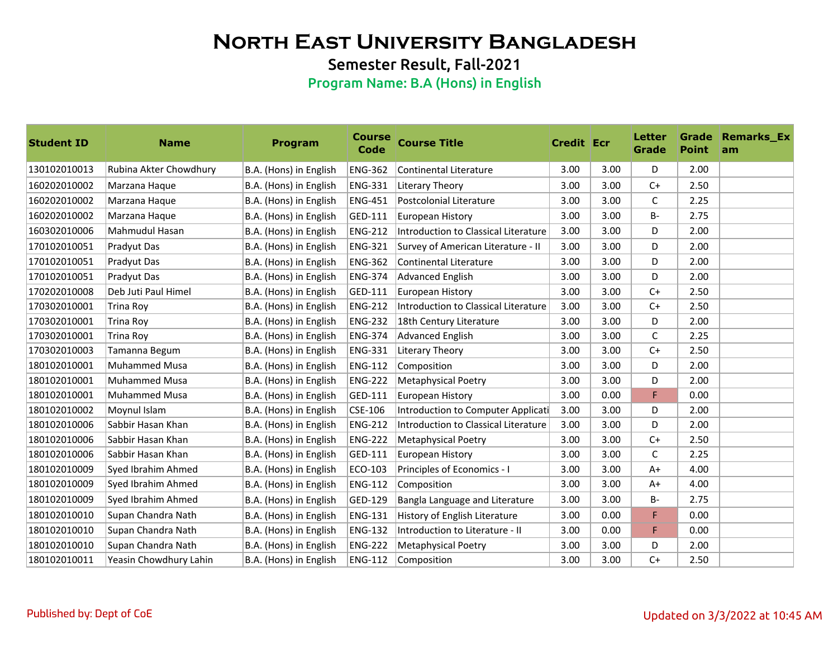Semester Result, Fall-2021

| <b>Student ID</b> | <b>Name</b>            | <b>Program</b>         | <b>Course</b><br><b>Code</b> | <b>Course Title</b>                  | <b>Credit Ecr</b> |      | Letter<br>Grade | <b>Point</b> | <b>Grade Remarks Ex</b><br>am |
|-------------------|------------------------|------------------------|------------------------------|--------------------------------------|-------------------|------|-----------------|--------------|-------------------------------|
| 130102010013      | Rubina Akter Chowdhury | B.A. (Hons) in English | <b>ENG-362</b>               | Continental Literature               | 3.00              | 3.00 | D               | 2.00         |                               |
| 160202010002      | Marzana Haque          | B.A. (Hons) in English | <b>ENG-331</b>               | Literary Theory                      | 3.00              | 3.00 | $C+$            | 2.50         |                               |
| 160202010002      | Marzana Haque          | B.A. (Hons) in English | <b>ENG-451</b>               | Postcolonial Literature              | 3.00              | 3.00 | C               | 2.25         |                               |
| 160202010002      | Marzana Haque          | B.A. (Hons) in English | GED-111                      | European History                     | 3.00              | 3.00 | <b>B-</b>       | 2.75         |                               |
| 160302010006      | Mahmudul Hasan         | B.A. (Hons) in English | <b>ENG-212</b>               | Introduction to Classical Literature | 3.00              | 3.00 | D               | 2.00         |                               |
| 170102010051      | Pradyut Das            | B.A. (Hons) in English | <b>ENG-321</b>               | Survey of American Literature - II   | 3.00              | 3.00 | D               | 2.00         |                               |
| 170102010051      | Pradyut Das            | B.A. (Hons) in English | <b>ENG-362</b>               | <b>Continental Literature</b>        | 3.00              | 3.00 | D               | 2.00         |                               |
| 170102010051      | Pradyut Das            | B.A. (Hons) in English | <b>ENG-374</b>               | Advanced English                     | 3.00              | 3.00 | D               | 2.00         |                               |
| 170202010008      | Deb Juti Paul Himel    | B.A. (Hons) in English | GED-111                      | European History                     | 3.00              | 3.00 | $C+$            | 2.50         |                               |
| 170302010001      | <b>Trina Roy</b>       | B.A. (Hons) in English | <b>ENG-212</b>               | Introduction to Classical Literature | 3.00              | 3.00 | $C+$            | 2.50         |                               |
| 170302010001      | Trina Roy              | B.A. (Hons) in English | <b>ENG-232</b>               | 18th Century Literature              | 3.00              | 3.00 | D               | 2.00         |                               |
| 170302010001      | Trina Roy              | B.A. (Hons) in English | <b>ENG-374</b>               | Advanced English                     | 3.00              | 3.00 | C               | 2.25         |                               |
| 170302010003      | Tamanna Begum          | B.A. (Hons) in English | <b>ENG-331</b>               | Literary Theory                      | 3.00              | 3.00 | $C+$            | 2.50         |                               |
| 180102010001      | <b>Muhammed Musa</b>   | B.A. (Hons) in English | <b>ENG-112</b>               | Composition                          | 3.00              | 3.00 | D               | 2.00         |                               |
| 180102010001      | <b>Muhammed Musa</b>   | B.A. (Hons) in English | <b>ENG-222</b>               | <b>Metaphysical Poetry</b>           | 3.00              | 3.00 | D               | 2.00         |                               |
| 180102010001      | <b>Muhammed Musa</b>   | B.A. (Hons) in English | GED-111                      | European History                     | 3.00              | 0.00 | F.              | 0.00         |                               |
| 180102010002      | Moynul Islam           | B.A. (Hons) in English | CSE-106                      | Introduction to Computer Applicati   | 3.00              | 3.00 | D               | 2.00         |                               |
| 180102010006      | Sabbir Hasan Khan      | B.A. (Hons) in English | <b>ENG-212</b>               | Introduction to Classical Literature | 3.00              | 3.00 | D               | 2.00         |                               |
| 180102010006      | Sabbir Hasan Khan      | B.A. (Hons) in English | <b>ENG-222</b>               | <b>Metaphysical Poetry</b>           | 3.00              | 3.00 | $C+$            | 2.50         |                               |
| 180102010006      | Sabbir Hasan Khan      | B.A. (Hons) in English | GED-111                      | European History                     | 3.00              | 3.00 | $\mathsf{C}$    | 2.25         |                               |
| 180102010009      | Syed Ibrahim Ahmed     | B.A. (Hons) in English | ECO-103                      | Principles of Economics - I          | 3.00              | 3.00 | $A+$            | 4.00         |                               |
| 180102010009      | Syed Ibrahim Ahmed     | B.A. (Hons) in English | <b>ENG-112</b>               | Composition                          | 3.00              | 3.00 | $A+$            | 4.00         |                               |
| 180102010009      | Syed Ibrahim Ahmed     | B.A. (Hons) in English | GED-129                      | Bangla Language and Literature       | 3.00              | 3.00 | <b>B-</b>       | 2.75         |                               |
| 180102010010      | Supan Chandra Nath     | B.A. (Hons) in English | <b>ENG-131</b>               | History of English Literature        | 3.00              | 0.00 | F               | 0.00         |                               |
| 180102010010      | Supan Chandra Nath     | B.A. (Hons) in English | <b>ENG-132</b>               | Introduction to Literature - II      | 3.00              | 0.00 | F               | 0.00         |                               |
| 180102010010      | Supan Chandra Nath     | B.A. (Hons) in English | <b>ENG-222</b>               | <b>Metaphysical Poetry</b>           | 3.00              | 3.00 | D               | 2.00         |                               |
| 180102010011      | Yeasin Chowdhury Lahin | B.A. (Hons) in English | <b>ENG-112</b>               | Composition                          | 3.00              | 3.00 | $C+$            | 2.50         |                               |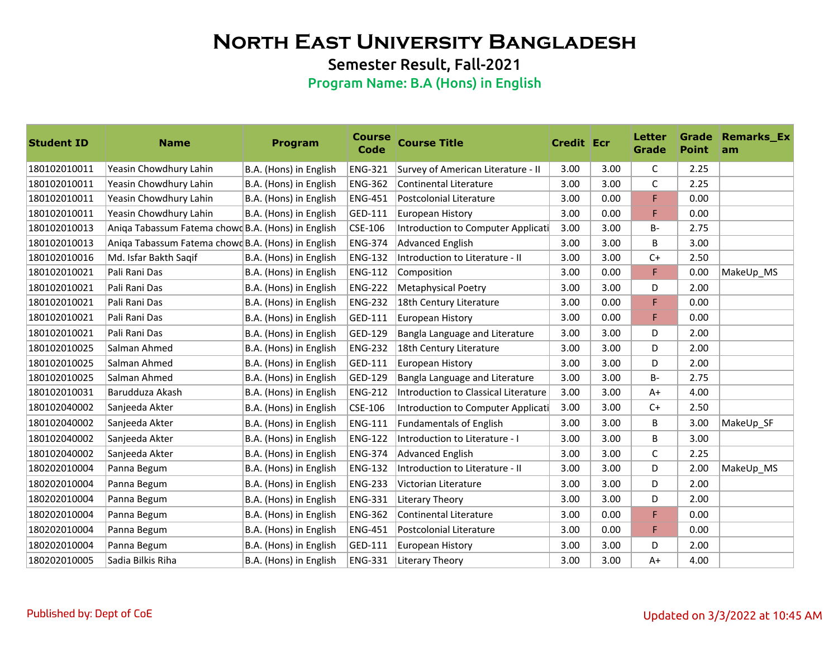Semester Result, Fall-2021

| <b>Student ID</b> | <b>Name</b>                                        | <b>Program</b>         | <b>Course</b><br>Code | <b>Course Title</b>                  | <b>Credit Ecr</b> |      | <b>Letter</b><br>Grade | <b>Point</b> | <b>Grade Remarks Ex</b><br>am |
|-------------------|----------------------------------------------------|------------------------|-----------------------|--------------------------------------|-------------------|------|------------------------|--------------|-------------------------------|
| 180102010011      | Yeasin Chowdhury Lahin                             | B.A. (Hons) in English | <b>ENG-321</b>        | Survey of American Literature - II   | 3.00              | 3.00 | C                      | 2.25         |                               |
| 180102010011      | Yeasin Chowdhury Lahin                             | B.A. (Hons) in English | <b>ENG-362</b>        | Continental Literature               | 3.00              | 3.00 | C                      | 2.25         |                               |
| 180102010011      | Yeasin Chowdhury Lahin                             | B.A. (Hons) in English | <b>ENG-451</b>        | Postcolonial Literature              | 3.00              | 0.00 | F                      | 0.00         |                               |
| 180102010011      | Yeasin Chowdhury Lahin                             | B.A. (Hons) in English | GED-111               | European History                     | 3.00              | 0.00 | F                      | 0.00         |                               |
| 180102010013      | Aniga Tabassum Fatema chowd B.A. (Hons) in English |                        | CSE-106               | Introduction to Computer Applicati   | 3.00              | 3.00 | $B -$                  | 2.75         |                               |
| 180102010013      | Aniga Tabassum Fatema chowd B.A. (Hons) in English |                        | <b>ENG-374</b>        | <b>Advanced English</b>              | 3.00              | 3.00 | B                      | 3.00         |                               |
| 180102010016      | Md. Isfar Bakth Saqif                              | B.A. (Hons) in English | <b>ENG-132</b>        | Introduction to Literature - II      | 3.00              | 3.00 | $C+$                   | 2.50         |                               |
| 180102010021      | Pali Rani Das                                      | B.A. (Hons) in English | <b>ENG-112</b>        | Composition                          | 3.00              | 0.00 | F.                     | 0.00         | MakeUp_MS                     |
| 180102010021      | Pali Rani Das                                      | B.A. (Hons) in English | <b>ENG-222</b>        | <b>Metaphysical Poetry</b>           | 3.00              | 3.00 | D                      | 2.00         |                               |
| 180102010021      | Pali Rani Das                                      | B.A. (Hons) in English | <b>ENG-232</b>        | 18th Century Literature              | 3.00              | 0.00 | F                      | 0.00         |                               |
| 180102010021      | Pali Rani Das                                      | B.A. (Hons) in English | GED-111               | <b>European History</b>              | 3.00              | 0.00 | F                      | 0.00         |                               |
| 180102010021      | Pali Rani Das                                      | B.A. (Hons) in English | GED-129               | Bangla Language and Literature       | 3.00              | 3.00 | D                      | 2.00         |                               |
| 180102010025      | Salman Ahmed                                       | B.A. (Hons) in English | <b>ENG-232</b>        | 18th Century Literature              | 3.00              | 3.00 | D                      | 2.00         |                               |
| 180102010025      | Salman Ahmed                                       | B.A. (Hons) in English | GED-111               | European History                     | 3.00              | 3.00 | D                      | 2.00         |                               |
| 180102010025      | Salman Ahmed                                       | B.A. (Hons) in English | GED-129               | Bangla Language and Literature       | 3.00              | 3.00 | <b>B-</b>              | 2.75         |                               |
| 180102010031      | Barudduza Akash                                    | B.A. (Hons) in English | <b>ENG-212</b>        | Introduction to Classical Literature | 3.00              | 3.00 | $A+$                   | 4.00         |                               |
| 180102040002      | Sanjeeda Akter                                     | B.A. (Hons) in English | CSE-106               | Introduction to Computer Applicati   | 3.00              | 3.00 | $C+$                   | 2.50         |                               |
| 180102040002      | Sanjeeda Akter                                     | B.A. (Hons) in English | <b>ENG-111</b>        | <b>Fundamentals of English</b>       | 3.00              | 3.00 | B                      | 3.00         | MakeUp SF                     |
| 180102040002      | Sanjeeda Akter                                     | B.A. (Hons) in English | <b>ENG-122</b>        | Introduction to Literature - I       | 3.00              | 3.00 | B                      | 3.00         |                               |
| 180102040002      | Sanjeeda Akter                                     | B.A. (Hons) in English | <b>ENG-374</b>        | <b>Advanced English</b>              | 3.00              | 3.00 | C                      | 2.25         |                               |
| 180202010004      | Panna Begum                                        | B.A. (Hons) in English | ENG-132               | Introduction to Literature - II      | 3.00              | 3.00 | D                      | 2.00         | MakeUp_MS                     |
| 180202010004      | Panna Begum                                        | B.A. (Hons) in English | <b>ENG-233</b>        | Victorian Literature                 | 3.00              | 3.00 | D                      | 2.00         |                               |
| 180202010004      | Panna Begum                                        | B.A. (Hons) in English | <b>ENG-331</b>        | Literary Theory                      | 3.00              | 3.00 | D                      | 2.00         |                               |
| 180202010004      | Panna Begum                                        | B.A. (Hons) in English | <b>ENG-362</b>        | Continental Literature               | 3.00              | 0.00 | F.                     | 0.00         |                               |
| 180202010004      | Panna Begum                                        | B.A. (Hons) in English | <b>ENG-451</b>        | Postcolonial Literature              | 3.00              | 0.00 | F                      | 0.00         |                               |
| 180202010004      | Panna Begum                                        | B.A. (Hons) in English | GED-111               | European History                     | 3.00              | 3.00 | D                      | 2.00         |                               |
| 180202010005      | <b>Sadia Bilkis Riha</b>                           | B.A. (Hons) in English | <b>ENG-331</b>        | Literary Theory                      | 3.00              | 3.00 | $A+$                   | 4.00         |                               |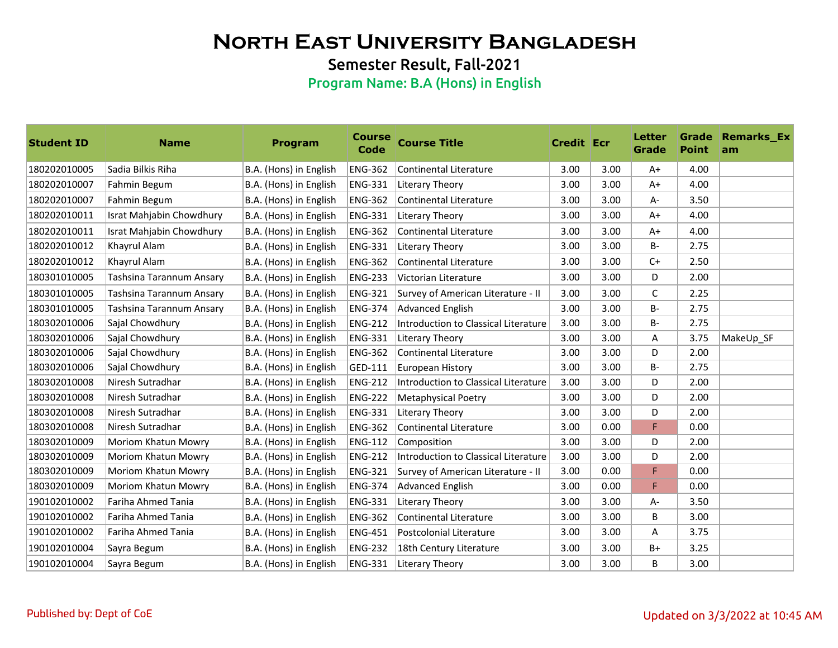Semester Result, Fall-2021

| <b>Student ID</b> | <b>Name</b>                | Program                | <b>Course</b><br><b>Code</b> | <b>Course Title</b>                  | <b>Credit Ecr</b> |      | Letter<br>Grade | <b>Point</b> | <b>Grade Remarks_Ex</b><br>am |
|-------------------|----------------------------|------------------------|------------------------------|--------------------------------------|-------------------|------|-----------------|--------------|-------------------------------|
| 180202010005      | Sadia Bilkis Riha          | B.A. (Hons) in English | <b>ENG-362</b>               | Continental Literature               | 3.00              | 3.00 | $A+$            | 4.00         |                               |
| 180202010007      | Fahmin Begum               | B.A. (Hons) in English | <b>ENG-331</b>               | Literary Theory                      | 3.00              | 3.00 | $A+$            | 4.00         |                               |
| 180202010007      | Fahmin Begum               | B.A. (Hons) in English | <b>ENG-362</b>               | Continental Literature               | 3.00              | 3.00 | A-              | 3.50         |                               |
| 180202010011      | Israt Mahjabin Chowdhury   | B.A. (Hons) in English | <b>ENG-331</b>               | Literary Theory                      | 3.00              | 3.00 | $A+$            | 4.00         |                               |
| 180202010011      | Israt Mahjabin Chowdhury   | B.A. (Hons) in English | <b>ENG-362</b>               | Continental Literature               | 3.00              | 3.00 | $A+$            | 4.00         |                               |
| 180202010012      | Khayrul Alam               | B.A. (Hons) in English | <b>ENG-331</b>               | Literary Theory                      | 3.00              | 3.00 | <b>B-</b>       | 2.75         |                               |
| 180202010012      | Khayrul Alam               | B.A. (Hons) in English | <b>ENG-362</b>               | <b>Continental Literature</b>        | 3.00              | 3.00 | $C+$            | 2.50         |                               |
| 180301010005      | Tashsina Tarannum Ansary   | B.A. (Hons) in English | <b>ENG-233</b>               | Victorian Literature                 | 3.00              | 3.00 | D               | 2.00         |                               |
| 180301010005      | Tashsina Tarannum Ansary   | B.A. (Hons) in English | <b>ENG-321</b>               | Survey of American Literature - II   | 3.00              | 3.00 | C               | 2.25         |                               |
| 180301010005      | Tashsina Tarannum Ansary   | B.A. (Hons) in English | <b>ENG-374</b>               | Advanced English                     | 3.00              | 3.00 | $B -$           | 2.75         |                               |
| 180302010006      | Sajal Chowdhury            | B.A. (Hons) in English | <b>ENG-212</b>               | Introduction to Classical Literature | 3.00              | 3.00 | <b>B-</b>       | 2.75         |                               |
| 180302010006      | Sajal Chowdhury            | B.A. (Hons) in English | <b>ENG-331</b>               | Literary Theory                      | 3.00              | 3.00 | A               | 3.75         | MakeUp SF                     |
| 180302010006      | Sajal Chowdhury            | B.A. (Hons) in English | <b>ENG-362</b>               | Continental Literature               | 3.00              | 3.00 | D               | 2.00         |                               |
| 180302010006      | Sajal Chowdhury            | B.A. (Hons) in English | GED-111                      | European History                     | 3.00              | 3.00 | <b>B-</b>       | 2.75         |                               |
| 180302010008      | Niresh Sutradhar           | B.A. (Hons) in English | <b>ENG-212</b>               | Introduction to Classical Literature | 3.00              | 3.00 | D               | 2.00         |                               |
| 180302010008      | Niresh Sutradhar           | B.A. (Hons) in English | <b>ENG-222</b>               | <b>Metaphysical Poetry</b>           | 3.00              | 3.00 | D               | 2.00         |                               |
| 180302010008      | Niresh Sutradhar           | B.A. (Hons) in English | <b>ENG-331</b>               | Literary Theory                      | 3.00              | 3.00 | D               | 2.00         |                               |
| 180302010008      | Niresh Sutradhar           | B.A. (Hons) in English | <b>ENG-362</b>               | Continental Literature               | 3.00              | 0.00 | F.              | 0.00         |                               |
| 180302010009      | Moriom Khatun Mowry        | B.A. (Hons) in English | <b>ENG-112</b>               | Composition                          | 3.00              | 3.00 | D               | 2.00         |                               |
| 180302010009      | <b>Moriom Khatun Mowry</b> | B.A. (Hons) in English | <b>ENG-212</b>               | Introduction to Classical Literature | 3.00              | 3.00 | D               | 2.00         |                               |
| 180302010009      | Moriom Khatun Mowry        | B.A. (Hons) in English | <b>ENG-321</b>               | Survey of American Literature - II   | 3.00              | 0.00 | F               | 0.00         |                               |
| 180302010009      | <b>Moriom Khatun Mowry</b> | B.A. (Hons) in English | <b>ENG-374</b>               | Advanced English                     | 3.00              | 0.00 | F               | 0.00         |                               |
| 190102010002      | Fariha Ahmed Tania         | B.A. (Hons) in English | <b>ENG-331</b>               | Literary Theory                      | 3.00              | 3.00 | A-              | 3.50         |                               |
| 190102010002      | Fariha Ahmed Tania         | B.A. (Hons) in English | <b>ENG-362</b>               | Continental Literature               | 3.00              | 3.00 | B               | 3.00         |                               |
| 190102010002      | Fariha Ahmed Tania         | B.A. (Hons) in English | <b>ENG-451</b>               | Postcolonial Literature              | 3.00              | 3.00 | A               | 3.75         |                               |
| 190102010004      | Sayra Begum                | B.A. (Hons) in English | <b>ENG-232</b>               | 18th Century Literature              | 3.00              | 3.00 | B+              | 3.25         |                               |
| 190102010004      | Sayra Begum                | B.A. (Hons) in English | <b>ENG-331</b>               | Literary Theory                      | 3.00              | 3.00 | B               | 3.00         |                               |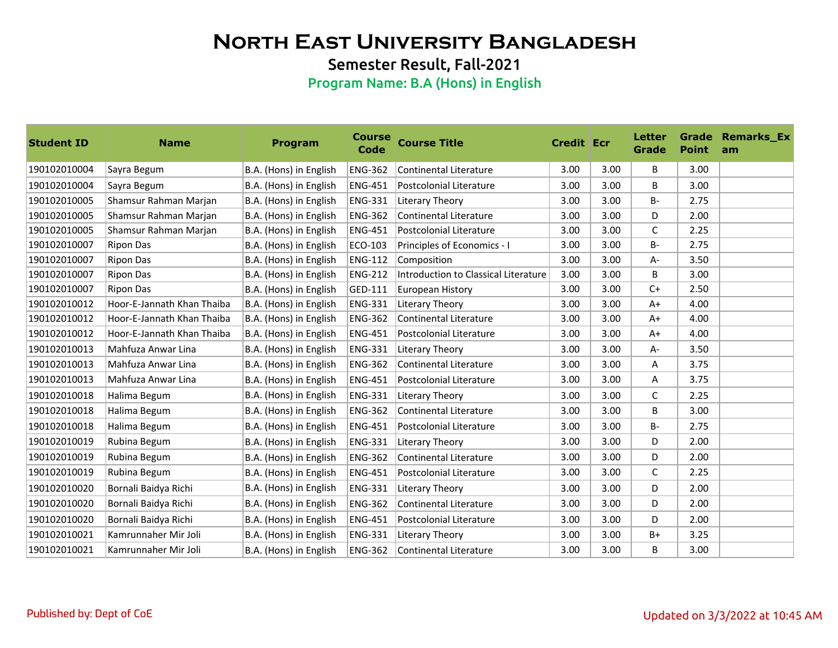Semester Result, Fall-2021

| <b>Student ID</b> | <b>Name</b>                | <b>Program</b>         | <b>Course</b><br>Code | <b>Course Title</b>                         | <b>Credit Ecr</b> |      | <b>Letter</b><br>Grade | <b>Point</b> | <b>Grade Remarks Ex</b><br>am |
|-------------------|----------------------------|------------------------|-----------------------|---------------------------------------------|-------------------|------|------------------------|--------------|-------------------------------|
| 190102010004      | Sayra Begum                | B.A. (Hons) in English | <b>ENG-362</b>        | <b>Continental Literature</b>               | 3.00              | 3.00 | B                      | 3.00         |                               |
| 190102010004      | Sayra Begum                | B.A. (Hons) in English | <b>ENG-451</b>        | Postcolonial Literature                     | 3.00              | 3.00 | B                      | 3.00         |                               |
| 190102010005      | Shamsur Rahman Marjan      | B.A. (Hons) in English | <b>ENG-331</b>        | Literary Theory                             | 3.00              | 3.00 | <b>B-</b>              | 2.75         |                               |
| 190102010005      | Shamsur Rahman Marjan      | B.A. (Hons) in English | <b>ENG-362</b>        | <b>Continental Literature</b>               | 3.00              | 3.00 | D                      | 2.00         |                               |
| 190102010005      | Shamsur Rahman Marjan      | B.A. (Hons) in English | <b>ENG-451</b>        | Postcolonial Literature                     | 3.00              | 3.00 | C                      | 2.25         |                               |
| 190102010007      | <b>Ripon Das</b>           | B.A. (Hons) in English | ECO-103               | Principles of Economics - I                 | 3.00              | 3.00 | <b>B-</b>              | 2.75         |                               |
| 190102010007      | Ripon Das                  | B.A. (Hons) in English | <b>ENG-112</b>        | Composition                                 | 3.00              | 3.00 | A-                     | 3.50         |                               |
| 190102010007      | Ripon Das                  | B.A. (Hons) in English | <b>ENG-212</b>        | <b>Introduction to Classical Literature</b> | 3.00              | 3.00 | B                      | 3.00         |                               |
| 190102010007      | <b>Ripon Das</b>           | B.A. (Hons) in English | GED-111               | European History                            | 3.00              | 3.00 | $C+$                   | 2.50         |                               |
| 190102010012      | Hoor-E-Jannath Khan Thaiba | B.A. (Hons) in English | <b>ENG-331</b>        | Literary Theory                             | 3.00              | 3.00 | $A+$                   | 4.00         |                               |
| 190102010012      | Hoor-E-Jannath Khan Thaiba | B.A. (Hons) in English | <b>ENG-362</b>        | <b>Continental Literature</b>               | 3.00              | 3.00 | $A+$                   | 4.00         |                               |
| 190102010012      | Hoor-E-Jannath Khan Thaiba | B.A. (Hons) in English | <b>ENG-451</b>        | Postcolonial Literature                     | 3.00              | 3.00 | $A+$                   | 4.00         |                               |
| 190102010013      | Mahfuza Anwar Lina         | B.A. (Hons) in English | <b>ENG-331</b>        | Literary Theory                             | 3.00              | 3.00 | A-                     | 3.50         |                               |
| 190102010013      | Mahfuza Anwar Lina         | B.A. (Hons) in English | <b>ENG-362</b>        | Continental Literature                      | 3.00              | 3.00 | Α                      | 3.75         |                               |
| 190102010013      | Mahfuza Anwar Lina         | B.A. (Hons) in English | <b>ENG-451</b>        | Postcolonial Literature                     | 3.00              | 3.00 | A                      | 3.75         |                               |
| 190102010018      | Halima Begum               | B.A. (Hons) in English | <b>ENG-331</b>        | Literary Theory                             | 3.00              | 3.00 | $\mathsf{C}$           | 2.25         |                               |
| 190102010018      | Halima Begum               | B.A. (Hons) in English | <b>ENG-362</b>        | <b>Continental Literature</b>               | 3.00              | 3.00 | B                      | 3.00         |                               |
| 190102010018      | Halima Begum               | B.A. (Hons) in English | <b>ENG-451</b>        | Postcolonial Literature                     | 3.00              | 3.00 | <b>B-</b>              | 2.75         |                               |
| 190102010019      | Rubina Begum               | B.A. (Hons) in English | <b>ENG-331</b>        | Literary Theory                             | 3.00              | 3.00 | D                      | 2.00         |                               |
| 190102010019      | Rubina Begum               | B.A. (Hons) in English | <b>ENG-362</b>        | <b>Continental Literature</b>               | 3.00              | 3.00 | D                      | 2.00         |                               |
| 190102010019      | Rubina Begum               | B.A. (Hons) in English | <b>ENG-451</b>        | Postcolonial Literature                     | 3.00              | 3.00 | $\mathsf{C}$           | 2.25         |                               |
| 190102010020      | Bornali Baidya Richi       | B.A. (Hons) in English | <b>ENG-331</b>        | Literary Theory                             | 3.00              | 3.00 | D                      | 2.00         |                               |
| 190102010020      | Bornali Baidya Richi       | B.A. (Hons) in English | <b>ENG-362</b>        | <b>Continental Literature</b>               | 3.00              | 3.00 | D                      | 2.00         |                               |
| 190102010020      | Bornali Baidya Richi       | B.A. (Hons) in English | <b>ENG-451</b>        | Postcolonial Literature                     | 3.00              | 3.00 | D                      | 2.00         |                               |
| 190102010021      | Kamrunnaher Mir Joli       | B.A. (Hons) in English | <b>ENG-331</b>        | Literary Theory                             | 3.00              | 3.00 | $B+$                   | 3.25         |                               |
| 190102010021      | Kamrunnaher Mir Joli       | B.A. (Hons) in English | <b>ENG-362</b>        | <b>Continental Literature</b>               | 3.00              | 3.00 | B                      | 3.00         |                               |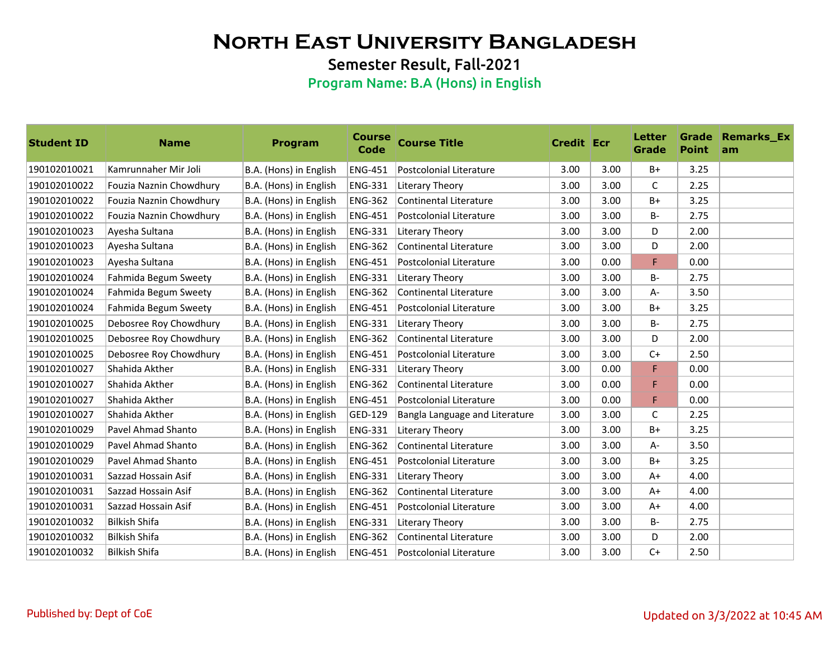Semester Result, Fall-2021

| <b>Student ID</b> | <b>Name</b>               | <b>Program</b>         | <b>Course</b><br>Code | <b>Course Title</b>            | <b>Credit Ecr</b> |      | <b>Letter</b><br>Grade | <b>Point</b> | <b>Grade Remarks Ex</b><br>am |
|-------------------|---------------------------|------------------------|-----------------------|--------------------------------|-------------------|------|------------------------|--------------|-------------------------------|
| 190102010021      | Kamrunnaher Mir Joli      | B.A. (Hons) in English | <b>ENG-451</b>        | Postcolonial Literature        | 3.00              | 3.00 | B+                     | 3.25         |                               |
| 190102010022      | Fouzia Naznin Chowdhury   | B.A. (Hons) in English | <b>ENG-331</b>        | Literary Theory                | 3.00              | 3.00 | C                      | 2.25         |                               |
| 190102010022      | Fouzia Naznin Chowdhury   | B.A. (Hons) in English | <b>ENG-362</b>        | <b>Continental Literature</b>  | 3.00              | 3.00 | $B+$                   | 3.25         |                               |
| 190102010022      | Fouzia Naznin Chowdhury   | B.A. (Hons) in English | <b>ENG-451</b>        | Postcolonial Literature        | 3.00              | 3.00 | <b>B-</b>              | 2.75         |                               |
| 190102010023      | Ayesha Sultana            | B.A. (Hons) in English | <b>ENG-331</b>        | Literary Theory                | 3.00              | 3.00 | D                      | 2.00         |                               |
| 190102010023      | Ayesha Sultana            | B.A. (Hons) in English | <b>ENG-362</b>        | Continental Literature         | 3.00              | 3.00 | D                      | 2.00         |                               |
| 190102010023      | Ayesha Sultana            | B.A. (Hons) in English | <b>ENG-451</b>        | Postcolonial Literature        | 3.00              | 0.00 | F                      | 0.00         |                               |
| 190102010024      | Fahmida Begum Sweety      | B.A. (Hons) in English | <b>ENG-331</b>        | Literary Theory                | 3.00              | 3.00 | <b>B-</b>              | 2.75         |                               |
| 190102010024      | Fahmida Begum Sweety      | B.A. (Hons) in English | <b>ENG-362</b>        | Continental Literature         | 3.00              | 3.00 | A-                     | 3.50         |                               |
| 190102010024      | Fahmida Begum Sweety      | B.A. (Hons) in English | <b>ENG-451</b>        | Postcolonial Literature        | 3.00              | 3.00 | $B+$                   | 3.25         |                               |
| 190102010025      | Debosree Roy Chowdhury    | B.A. (Hons) in English | <b>ENG-331</b>        | Literary Theory                | 3.00              | 3.00 | <b>B-</b>              | 2.75         |                               |
| 190102010025      | Debosree Roy Chowdhury    | B.A. (Hons) in English | <b>ENG-362</b>        | Continental Literature         | 3.00              | 3.00 | D                      | 2.00         |                               |
| 190102010025      | Debosree Roy Chowdhury    | B.A. (Hons) in English | <b>ENG-451</b>        | Postcolonial Literature        | 3.00              | 3.00 | $C+$                   | 2.50         |                               |
| 190102010027      | Shahida Akther            | B.A. (Hons) in English | <b>ENG-331</b>        | Literary Theory                | 3.00              | 0.00 | F                      | 0.00         |                               |
| 190102010027      | Shahida Akther            | B.A. (Hons) in English | <b>ENG-362</b>        | Continental Literature         | 3.00              | 0.00 | F                      | 0.00         |                               |
| 190102010027      | Shahida Akther            | B.A. (Hons) in English | <b>ENG-451</b>        | Postcolonial Literature        | 3.00              | 0.00 | F                      | 0.00         |                               |
| 190102010027      | Shahida Akther            | B.A. (Hons) in English | GED-129               | Bangla Language and Literature | 3.00              | 3.00 | $\mathsf{C}$           | 2.25         |                               |
| 190102010029      | Pavel Ahmad Shanto        | B.A. (Hons) in English | <b>ENG-331</b>        | Literary Theory                | 3.00              | 3.00 | B+                     | 3.25         |                               |
| 190102010029      | <b>Pavel Ahmad Shanto</b> | B.A. (Hons) in English | <b>ENG-362</b>        | <b>Continental Literature</b>  | 3.00              | 3.00 | $A -$                  | 3.50         |                               |
| 190102010029      | <b>Pavel Ahmad Shanto</b> | B.A. (Hons) in English | <b>ENG-451</b>        | Postcolonial Literature        | 3.00              | 3.00 | $B+$                   | 3.25         |                               |
| 190102010031      | Sazzad Hossain Asif       | B.A. (Hons) in English | <b>ENG-331</b>        | Literary Theory                | 3.00              | 3.00 | $A+$                   | 4.00         |                               |
| 190102010031      | Sazzad Hossain Asif       | B.A. (Hons) in English | <b>ENG-362</b>        | Continental Literature         | 3.00              | 3.00 | $A+$                   | 4.00         |                               |
| 190102010031      | Sazzad Hossain Asif       | B.A. (Hons) in English | <b>ENG-451</b>        | Postcolonial Literature        | 3.00              | 3.00 | $A+$                   | 4.00         |                               |
| 190102010032      | <b>Bilkish Shifa</b>      | B.A. (Hons) in English | <b>ENG-331</b>        | Literary Theory                | 3.00              | 3.00 | B-                     | 2.75         |                               |
| 190102010032      | <b>Bilkish Shifa</b>      | B.A. (Hons) in English | <b>ENG-362</b>        | Continental Literature         | 3.00              | 3.00 | D                      | 2.00         |                               |
| 190102010032      | <b>Bilkish Shifa</b>      | B.A. (Hons) in English | <b>ENG-451</b>        | Postcolonial Literature        | 3.00              | 3.00 | $C+$                   | 2.50         |                               |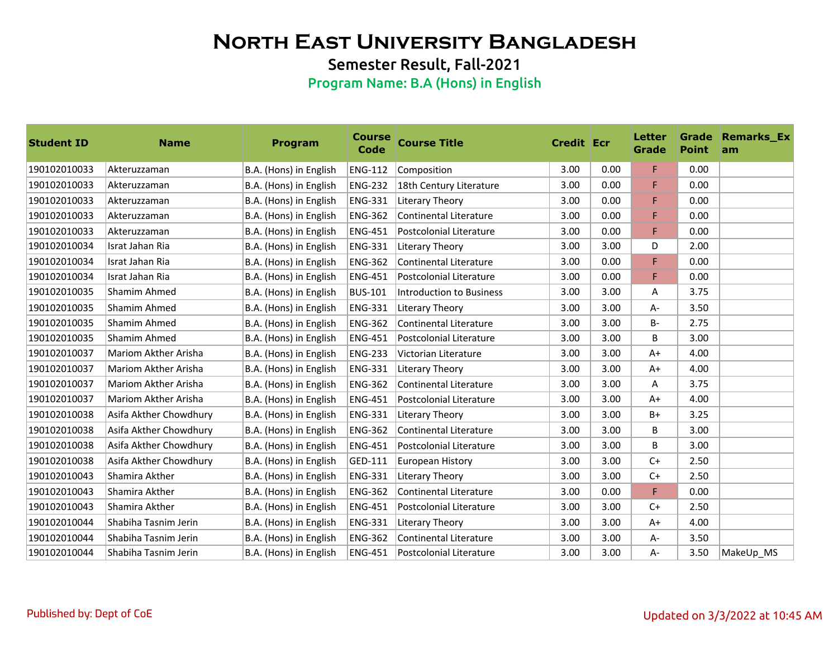Semester Result, Fall-2021

| <b>Student ID</b> | <b>Name</b>            | <b>Program</b>         | <b>Course</b><br><b>Code</b> | <b>Course Title</b>           | <b>Credit Ecr</b> |      | <b>Letter</b><br><b>Grade</b> | <b>Point</b> | <b>Grade Remarks_Ex</b><br>am |
|-------------------|------------------------|------------------------|------------------------------|-------------------------------|-------------------|------|-------------------------------|--------------|-------------------------------|
| 190102010033      | Akteruzzaman           | B.A. (Hons) in English | <b>ENG-112</b>               | Composition                   | 3.00              | 0.00 | F.                            | 0.00         |                               |
| 190102010033      | Akteruzzaman           | B.A. (Hons) in English | <b>ENG-232</b>               | 18th Century Literature       | 3.00              | 0.00 | F                             | 0.00         |                               |
| 190102010033      | Akteruzzaman           | B.A. (Hons) in English | <b>ENG-331</b>               | Literary Theory               | 3.00              | 0.00 | F                             | 0.00         |                               |
| 190102010033      | Akteruzzaman           | B.A. (Hons) in English | <b>ENG-362</b>               | Continental Literature        | 3.00              | 0.00 | F                             | 0.00         |                               |
| 190102010033      | Akteruzzaman           | B.A. (Hons) in English | <b>ENG-451</b>               | Postcolonial Literature       | 3.00              | 0.00 | F                             | 0.00         |                               |
| 190102010034      | Israt Jahan Ria        | B.A. (Hons) in English | <b>ENG-331</b>               | Literary Theory               | 3.00              | 3.00 | D                             | 2.00         |                               |
| 190102010034      | Israt Jahan Ria        | B.A. (Hons) in English | <b>ENG-362</b>               | <b>Continental Literature</b> | 3.00              | 0.00 | F                             | 0.00         |                               |
| 190102010034      | Israt Jahan Ria        | B.A. (Hons) in English | <b>ENG-451</b>               | Postcolonial Literature       | 3.00              | 0.00 | F                             | 0.00         |                               |
| 190102010035      | Shamim Ahmed           | B.A. (Hons) in English | <b>BUS-101</b>               | Introduction to Business      | 3.00              | 3.00 | Α                             | 3.75         |                               |
| 190102010035      | Shamim Ahmed           | B.A. (Hons) in English | <b>ENG-331</b>               | Literary Theory               | 3.00              | 3.00 | $A -$                         | 3.50         |                               |
| 190102010035      | Shamim Ahmed           | B.A. (Hons) in English | <b>ENG-362</b>               | <b>Continental Literature</b> | 3.00              | 3.00 | B-                            | 2.75         |                               |
| 190102010035      | Shamim Ahmed           | B.A. (Hons) in English | <b>ENG-451</b>               | Postcolonial Literature       | 3.00              | 3.00 | B                             | 3.00         |                               |
| 190102010037      | Mariom Akther Arisha   | B.A. (Hons) in English | <b>ENG-233</b>               | Victorian Literature          | 3.00              | 3.00 | $A+$                          | 4.00         |                               |
| 190102010037      | Mariom Akther Arisha   | B.A. (Hons) in English | <b>ENG-331</b>               | Literary Theory               | 3.00              | 3.00 | $A+$                          | 4.00         |                               |
| 190102010037      | Mariom Akther Arisha   | B.A. (Hons) in English | <b>ENG-362</b>               | Continental Literature        | 3.00              | 3.00 | A                             | 3.75         |                               |
| 190102010037      | Mariom Akther Arisha   | B.A. (Hons) in English | <b>ENG-451</b>               | Postcolonial Literature       | 3.00              | 3.00 | $A+$                          | 4.00         |                               |
| 190102010038      | Asifa Akther Chowdhury | B.A. (Hons) in English | <b>ENG-331</b>               | Literary Theory               | 3.00              | 3.00 | $B+$                          | 3.25         |                               |
| 190102010038      | Asifa Akther Chowdhury | B.A. (Hons) in English | <b>ENG-362</b>               | Continental Literature        | 3.00              | 3.00 | B                             | 3.00         |                               |
| 190102010038      | Asifa Akther Chowdhury | B.A. (Hons) in English | <b>ENG-451</b>               | Postcolonial Literature       | 3.00              | 3.00 | B                             | 3.00         |                               |
| 190102010038      | Asifa Akther Chowdhury | B.A. (Hons) in English | GED-111                      | European History              | 3.00              | 3.00 | $C+$                          | 2.50         |                               |
| 190102010043      | Shamira Akther         | B.A. (Hons) in English | <b>ENG-331</b>               | Literary Theory               | 3.00              | 3.00 | $C+$                          | 2.50         |                               |
| 190102010043      | Shamira Akther         | B.A. (Hons) in English | <b>ENG-362</b>               | Continental Literature        | 3.00              | 0.00 | F                             | 0.00         |                               |
| 190102010043      | Shamira Akther         | B.A. (Hons) in English | <b>ENG-451</b>               | Postcolonial Literature       | 3.00              | 3.00 | $C+$                          | 2.50         |                               |
| 190102010044      | Shabiha Tasnim Jerin   | B.A. (Hons) in English | <b>ENG-331</b>               | Literary Theory               | 3.00              | 3.00 | $A+$                          | 4.00         |                               |
| 190102010044      | Shabiha Tasnim Jerin   | B.A. (Hons) in English | <b>ENG-362</b>               | <b>Continental Literature</b> | 3.00              | 3.00 | A-                            | 3.50         |                               |
| 190102010044      | Shabiha Tasnim Jerin   | B.A. (Hons) in English | <b>ENG-451</b>               | Postcolonial Literature       | 3.00              | 3.00 | $A -$                         | 3.50         | MakeUp MS                     |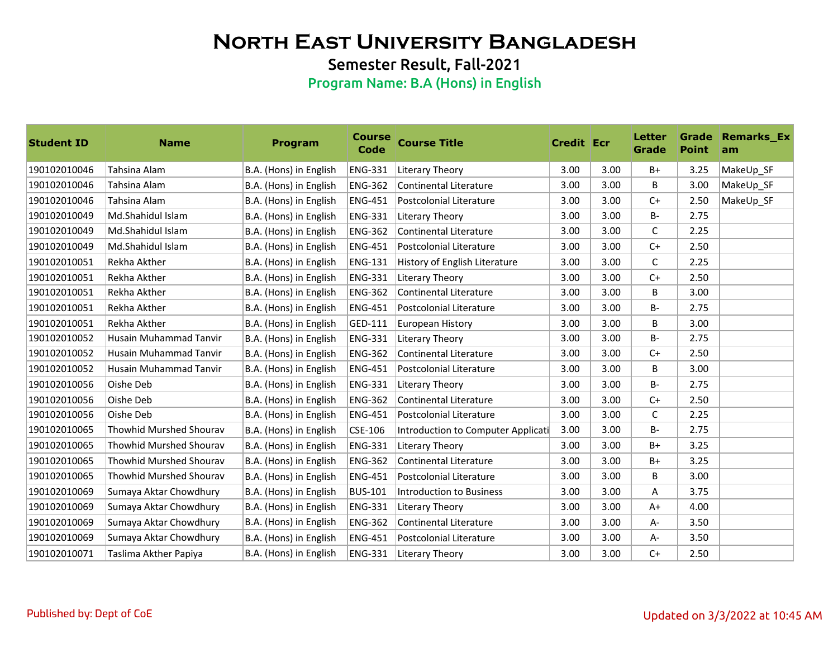Semester Result, Fall-2021

| <b>Student ID</b> | <b>Name</b>                    | <b>Program</b>         | <b>Course</b><br><b>Code</b> | <b>Course Title</b>                | <b>Credit Ecr</b> |      | Letter<br>Grade | <b>Point</b> | <b>Grade Remarks_Ex</b><br>am |
|-------------------|--------------------------------|------------------------|------------------------------|------------------------------------|-------------------|------|-----------------|--------------|-------------------------------|
| 190102010046      | Tahsina Alam                   | B.A. (Hons) in English | <b>ENG-331</b>               | Literary Theory                    | 3.00              | 3.00 | $B+$            | 3.25         | MakeUp_SF                     |
| 190102010046      | Tahsina Alam                   | B.A. (Hons) in English | <b>ENG-362</b>               | Continental Literature             | 3.00              | 3.00 | B               | 3.00         | MakeUp_SF                     |
| 190102010046      | Tahsina Alam                   | B.A. (Hons) in English | <b>ENG-451</b>               | Postcolonial Literature            | 3.00              | 3.00 | $C+$            | 2.50         | MakeUp_SF                     |
| 190102010049      | Md.Shahidul Islam              | B.A. (Hons) in English | <b>ENG-331</b>               | Literary Theory                    | 3.00              | 3.00 | $B -$           | 2.75         |                               |
| 190102010049      | Md.Shahidul Islam              | B.A. (Hons) in English | <b>ENG-362</b>               | Continental Literature             | 3.00              | 3.00 | C               | 2.25         |                               |
| 190102010049      | Md.Shahidul Islam              | B.A. (Hons) in English | <b>ENG-451</b>               | Postcolonial Literature            | 3.00              | 3.00 | $C+$            | 2.50         |                               |
| 190102010051      | Rekha Akther                   | B.A. (Hons) in English | <b>ENG-131</b>               | History of English Literature      | 3.00              | 3.00 | $\mathsf{C}$    | 2.25         |                               |
| 190102010051      | Rekha Akther                   | B.A. (Hons) in English | <b>ENG-331</b>               | Literary Theory                    | 3.00              | 3.00 | $C+$            | 2.50         |                               |
| 190102010051      | Rekha Akther                   | B.A. (Hons) in English | <b>ENG-362</b>               | Continental Literature             | 3.00              | 3.00 | B               | 3.00         |                               |
| 190102010051      | Rekha Akther                   | B.A. (Hons) in English | <b>ENG-451</b>               | Postcolonial Literature            | 3.00              | 3.00 | <b>B-</b>       | 2.75         |                               |
| 190102010051      | Rekha Akther                   | B.A. (Hons) in English | GED-111                      | European History                   | 3.00              | 3.00 | B               | 3.00         |                               |
| 190102010052      | <b>Husain Muhammad Tanvir</b>  | B.A. (Hons) in English | <b>ENG-331</b>               | Literary Theory                    | 3.00              | 3.00 | <b>B-</b>       | 2.75         |                               |
| 190102010052      | <b>Husain Muhammad Tanvir</b>  | B.A. (Hons) in English | <b>ENG-362</b>               | Continental Literature             | 3.00              | 3.00 | $C+$            | 2.50         |                               |
| 190102010052      | Husain Muhammad Tanvir         | B.A. (Hons) in English | <b>ENG-451</b>               | Postcolonial Literature            | 3.00              | 3.00 | B               | 3.00         |                               |
| 190102010056      | Oishe Deb                      | B.A. (Hons) in English | <b>ENG-331</b>               | Literary Theory                    | 3.00              | 3.00 | $B -$           | 2.75         |                               |
| 190102010056      | Oishe Deb                      | B.A. (Hons) in English | <b>ENG-362</b>               | <b>Continental Literature</b>      | 3.00              | 3.00 | $C+$            | 2.50         |                               |
| 190102010056      | Oishe Deb                      | B.A. (Hons) in English | <b>ENG-451</b>               | Postcolonial Literature            | 3.00              | 3.00 | $\mathsf{C}$    | 2.25         |                               |
| 190102010065      | <b>Thowhid Murshed Shourav</b> | B.A. (Hons) in English | $CSE-106$                    | Introduction to Computer Applicati | 3.00              | 3.00 | <b>B-</b>       | 2.75         |                               |
| 190102010065      | Thowhid Murshed Shourav        | B.A. (Hons) in English | <b>ENG-331</b>               | Literary Theory                    | 3.00              | 3.00 | $B+$            | 3.25         |                               |
| 190102010065      | <b>Thowhid Murshed Shourav</b> | B.A. (Hons) in English | <b>ENG-362</b>               | Continental Literature             | 3.00              | 3.00 | $B+$            | 3.25         |                               |
| 190102010065      | <b>Thowhid Murshed Shourav</b> | B.A. (Hons) in English | <b>ENG-451</b>               | Postcolonial Literature            | 3.00              | 3.00 | B               | 3.00         |                               |
| 190102010069      | Sumaya Aktar Chowdhury         | B.A. (Hons) in English | <b>BUS-101</b>               | Introduction to Business           | 3.00              | 3.00 | Α               | 3.75         |                               |
| 190102010069      | Sumaya Aktar Chowdhury         | B.A. (Hons) in English | <b>ENG-331</b>               | Literary Theory                    | 3.00              | 3.00 | $A+$            | 4.00         |                               |
| 190102010069      | Sumaya Aktar Chowdhury         | B.A. (Hons) in English | <b>ENG-362</b>               | Continental Literature             | 3.00              | 3.00 | A-              | 3.50         |                               |
| 190102010069      | Sumaya Aktar Chowdhury         | B.A. (Hons) in English | <b>ENG-451</b>               | Postcolonial Literature            | 3.00              | 3.00 | A-              | 3.50         |                               |
| 190102010071      | Taslima Akther Papiya          | B.A. (Hons) in English | <b>ENG-331</b>               | Literary Theory                    | 3.00              | 3.00 | $C+$            | 2.50         |                               |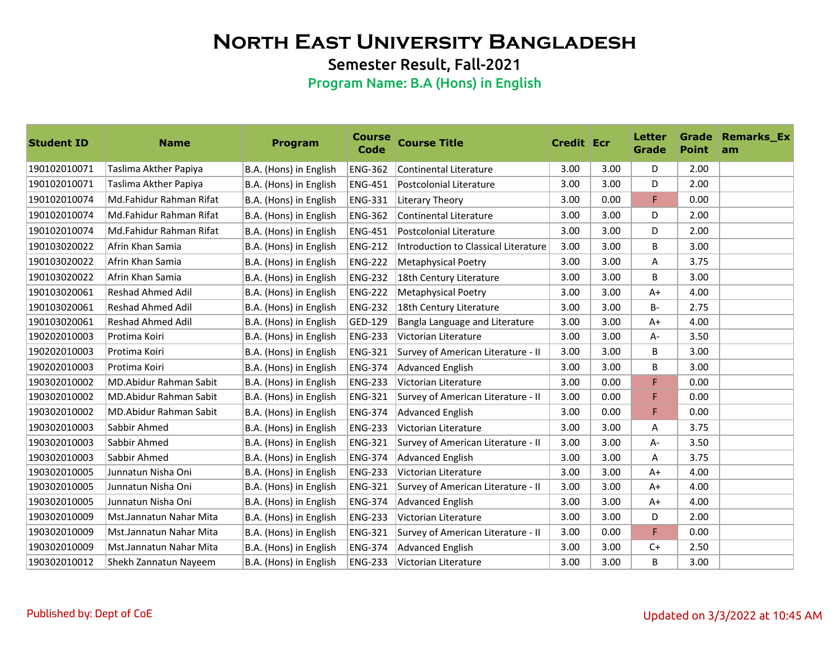Semester Result, Fall-2021

| <b>Student ID</b> | <b>Name</b>                   | <b>Program</b>         | <b>Course</b><br><b>Code</b> | <b>Course Title</b>                  | <b>Credit Ecr</b> |      | Letter<br>Grade | <b>Point</b> | <b>Grade Remarks Ex</b><br><b>am</b> |
|-------------------|-------------------------------|------------------------|------------------------------|--------------------------------------|-------------------|------|-----------------|--------------|--------------------------------------|
| 190102010071      | Taslima Akther Papiya         | B.A. (Hons) in English | <b>ENG-362</b>               | Continental Literature               | 3.00              | 3.00 | D               | 2.00         |                                      |
| 190102010071      | Taslima Akther Papiya         | B.A. (Hons) in English | <b>ENG-451</b>               | Postcolonial Literature              | 3.00              | 3.00 | D               | 2.00         |                                      |
| 190102010074      | Md.Fahidur Rahman Rifat       | B.A. (Hons) in English | ENG-331                      | Literary Theory                      | 3.00              | 0.00 | F               | 0.00         |                                      |
| 190102010074      | Md.Fahidur Rahman Rifat       | B.A. (Hons) in English | <b>ENG-362</b>               | Continental Literature               | 3.00              | 3.00 | D               | 2.00         |                                      |
| 190102010074      | Md.Fahidur Rahman Rifat       | B.A. (Hons) in English | <b>ENG-451</b>               | Postcolonial Literature              | 3.00              | 3.00 | D               | 2.00         |                                      |
| 190103020022      | Afrin Khan Samia              | B.A. (Hons) in English | <b>ENG-212</b>               | Introduction to Classical Literature | 3.00              | 3.00 | B               | 3.00         |                                      |
| 190103020022      | Afrin Khan Samia              | B.A. (Hons) in English | <b>ENG-222</b>               | <b>Metaphysical Poetry</b>           | 3.00              | 3.00 | Α               | 3.75         |                                      |
| 190103020022      | Afrin Khan Samia              | B.A. (Hons) in English | <b>ENG-232</b>               | 18th Century Literature              | 3.00              | 3.00 | B               | 3.00         |                                      |
| 190103020061      | <b>Reshad Ahmed Adil</b>      | B.A. (Hons) in English | <b>ENG-222</b>               | <b>Metaphysical Poetry</b>           | 3.00              | 3.00 | $A+$            | 4.00         |                                      |
| 190103020061      | <b>Reshad Ahmed Adil</b>      | B.A. (Hons) in English | <b>ENG-232</b>               | 18th Century Literature              | 3.00              | 3.00 | <b>B-</b>       | 2.75         |                                      |
| 190103020061      | <b>Reshad Ahmed Adil</b>      | B.A. (Hons) in English | GED-129                      | Bangla Language and Literature       | 3.00              | 3.00 | $A+$            | 4.00         |                                      |
| 190202010003      | Protima Koiri                 | B.A. (Hons) in English | <b>ENG-233</b>               | Victorian Literature                 | 3.00              | 3.00 | A-              | 3.50         |                                      |
| 190202010003      | Protima Koiri                 | B.A. (Hons) in English | <b>ENG-321</b>               | Survey of American Literature - II   | 3.00              | 3.00 | B               | 3.00         |                                      |
| 190202010003      | Protima Koiri                 | B.A. (Hons) in English | <b>ENG-374</b>               | Advanced English                     | 3.00              | 3.00 | B               | 3.00         |                                      |
| 190302010002      | <b>MD.Abidur Rahman Sabit</b> | B.A. (Hons) in English | <b>ENG-233</b>               | Victorian Literature                 | 3.00              | 0.00 | F               | 0.00         |                                      |
| 190302010002      | MD.Abidur Rahman Sabit        | B.A. (Hons) in English | <b>ENG-321</b>               | Survey of American Literature - II   | 3.00              | 0.00 | F               | 0.00         |                                      |
| 190302010002      | MD.Abidur Rahman Sabit        | B.A. (Hons) in English | <b>ENG-374</b>               | Advanced English                     | 3.00              | 0.00 | F               | 0.00         |                                      |
| 190302010003      | Sabbir Ahmed                  | B.A. (Hons) in English | <b>ENG-233</b>               | Victorian Literature                 | 3.00              | 3.00 | A               | 3.75         |                                      |
| 190302010003      | Sabbir Ahmed                  | B.A. (Hons) in English | <b>ENG-321</b>               | Survey of American Literature - II   | 3.00              | 3.00 | A-              | 3.50         |                                      |
| 190302010003      | Sabbir Ahmed                  | B.A. (Hons) in English | <b>ENG-374</b>               | Advanced English                     | 3.00              | 3.00 | Α               | 3.75         |                                      |
| 190302010005      | Junnatun Nisha Oni            | B.A. (Hons) in English | <b>ENG-233</b>               | Victorian Literature                 | 3.00              | 3.00 | $A+$            | 4.00         |                                      |
| 190302010005      | Junnatun Nisha Oni            | B.A. (Hons) in English | <b>ENG-321</b>               | Survey of American Literature - II   | 3.00              | 3.00 | $A+$            | 4.00         |                                      |
| 190302010005      | Junnatun Nisha Oni            | B.A. (Hons) in English | <b>ENG-374</b>               | <b>Advanced English</b>              | 3.00              | 3.00 | $A+$            | 4.00         |                                      |
| 190302010009      | Mst.Jannatun Nahar Mita       | B.A. (Hons) in English | <b>ENG-233</b>               | Victorian Literature                 | 3.00              | 3.00 | D               | 2.00         |                                      |
| 190302010009      | Mst.Jannatun Nahar Mita       | B.A. (Hons) in English | <b>ENG-321</b>               | Survey of American Literature - II   | 3.00              | 0.00 | F               | 0.00         |                                      |
| 190302010009      | Mst.Jannatun Nahar Mita       | B.A. (Hons) in English | <b>ENG-374</b>               | <b>Advanced English</b>              | 3.00              | 3.00 | $C+$            | 2.50         |                                      |
| 190302010012      | Shekh Zannatun Nayeem         | B.A. (Hons) in English | <b>ENG-233</b>               | Victorian Literature                 | 3.00              | 3.00 | B               | 3.00         |                                      |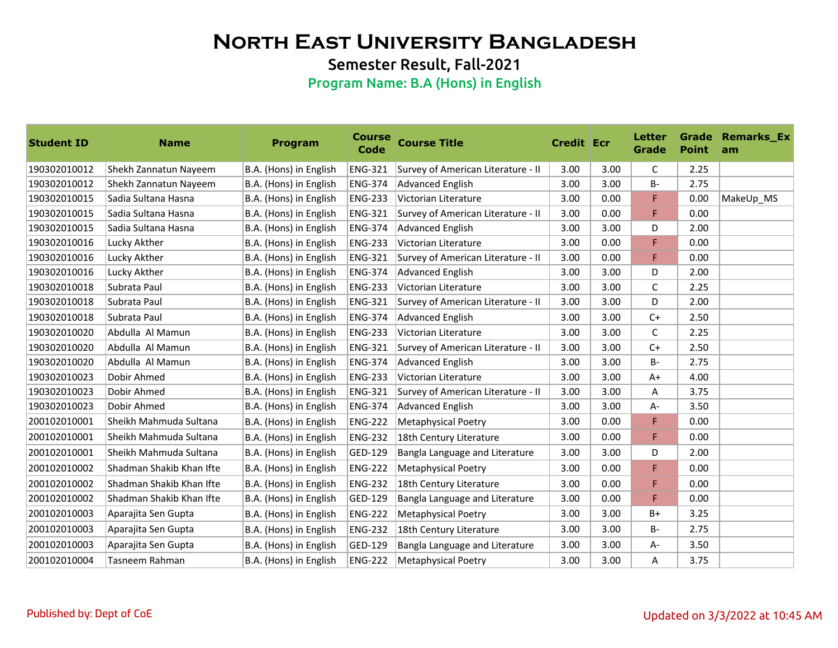Semester Result, Fall-2021

| <b>Student ID</b> | <b>Name</b>              | Program                | <b>Course</b><br>Code | <b>Course Title</b>                | <b>Credit Ecr</b> |      | Letter<br>Grade | <b>Point</b> | <b>Grade Remarks Ex</b><br>am |
|-------------------|--------------------------|------------------------|-----------------------|------------------------------------|-------------------|------|-----------------|--------------|-------------------------------|
| 190302010012      | Shekh Zannatun Nayeem    | B.A. (Hons) in English | <b>ENG-321</b>        | Survey of American Literature - II | 3.00              | 3.00 | C               | 2.25         |                               |
| 190302010012      | Shekh Zannatun Nayeem    | B.A. (Hons) in English | <b>ENG-374</b>        | Advanced English                   | 3.00              | 3.00 | В-              | 2.75         |                               |
| 190302010015      | Sadia Sultana Hasna      | B.A. (Hons) in English | <b>ENG-233</b>        | Victorian Literature               | 3.00              | 0.00 | F               | 0.00         | MakeUp_MS                     |
| 190302010015      | Sadia Sultana Hasna      | B.A. (Hons) in English | <b>ENG-321</b>        | Survey of American Literature - II | 3.00              | 0.00 | F               | 0.00         |                               |
| 190302010015      | Sadia Sultana Hasna      | B.A. (Hons) in English | <b>ENG-374</b>        | <b>Advanced English</b>            | 3.00              | 3.00 | D               | 2.00         |                               |
| 190302010016      | Lucky Akther             | B.A. (Hons) in English | <b>ENG-233</b>        | Victorian Literature               | 3.00              | 0.00 | F               | 0.00         |                               |
| 190302010016      | Lucky Akther             | B.A. (Hons) in English | <b>ENG-321</b>        | Survey of American Literature - II | 3.00              | 0.00 | F               | 0.00         |                               |
| 190302010016      | Lucky Akther             | B.A. (Hons) in English | <b>ENG-374</b>        | Advanced English                   | 3.00              | 3.00 | D               | 2.00         |                               |
| 190302010018      | Subrata Paul             | B.A. (Hons) in English | <b>ENG-233</b>        | Victorian Literature               | 3.00              | 3.00 | $\mathsf{C}$    | 2.25         |                               |
| 190302010018      | Subrata Paul             | B.A. (Hons) in English | <b>ENG-321</b>        | Survey of American Literature - II | 3.00              | 3.00 | D               | 2.00         |                               |
| 190302010018      | Subrata Paul             | B.A. (Hons) in English | <b>ENG-374</b>        | Advanced English                   | 3.00              | 3.00 | $C+$            | 2.50         |                               |
| 190302010020      | Abdulla Al Mamun         | B.A. (Hons) in English | <b>ENG-233</b>        | Victorian Literature               | 3.00              | 3.00 | C               | 2.25         |                               |
| 190302010020      | Abdulla Al Mamun         | B.A. (Hons) in English | <b>ENG-321</b>        | Survey of American Literature - II | 3.00              | 3.00 | $C+$            | 2.50         |                               |
| 190302010020      | Abdulla Al Mamun         | B.A. (Hons) in English | <b>ENG-374</b>        | <b>Advanced English</b>            | 3.00              | 3.00 | <b>B-</b>       | 2.75         |                               |
| 190302010023      | Dobir Ahmed              | B.A. (Hons) in English | <b>ENG-233</b>        | Victorian Literature               | 3.00              | 3.00 | $A+$            | 4.00         |                               |
| 190302010023      | Dobir Ahmed              | B.A. (Hons) in English | <b>ENG-321</b>        | Survey of American Literature - II | 3.00              | 3.00 | Α               | 3.75         |                               |
| 190302010023      | Dobir Ahmed              | B.A. (Hons) in English | <b>ENG-374</b>        | Advanced English                   | 3.00              | 3.00 | A-              | 3.50         |                               |
| 200102010001      | Sheikh Mahmuda Sultana   | B.A. (Hons) in English | <b>ENG-222</b>        | <b>Metaphysical Poetry</b>         | 3.00              | 0.00 | F               | 0.00         |                               |
| 200102010001      | Sheikh Mahmuda Sultana   | B.A. (Hons) in English | <b>ENG-232</b>        | 18th Century Literature            | 3.00              | 0.00 | F               | 0.00         |                               |
| 200102010001      | Sheikh Mahmuda Sultana   | B.A. (Hons) in English | GED-129               | Bangla Language and Literature     | 3.00              | 3.00 | D               | 2.00         |                               |
| 200102010002      | Shadman Shakib Khan Ifte | B.A. (Hons) in English | <b>ENG-222</b>        | <b>Metaphysical Poetry</b>         | 3.00              | 0.00 | F               | 0.00         |                               |
| 200102010002      | Shadman Shakib Khan Ifte | B.A. (Hons) in English | <b>ENG-232</b>        | 18th Century Literature            | 3.00              | 0.00 | F               | 0.00         |                               |
| 200102010002      | Shadman Shakib Khan Ifte | B.A. (Hons) in English | GED-129               | Bangla Language and Literature     | 3.00              | 0.00 | F               | 0.00         |                               |
| 200102010003      | Aparajita Sen Gupta      | B.A. (Hons) in English | <b>ENG-222</b>        | <b>Metaphysical Poetry</b>         | 3.00              | 3.00 | $B+$            | 3.25         |                               |
| 200102010003      | Aparajita Sen Gupta      | B.A. (Hons) in English | <b>ENG-232</b>        | 18th Century Literature            | 3.00              | 3.00 | B-              | 2.75         |                               |
| 200102010003      | Aparajita Sen Gupta      | B.A. (Hons) in English | GED-129               | Bangla Language and Literature     | 3.00              | 3.00 | A-              | 3.50         |                               |
| 200102010004      | Tasneem Rahman           | B.A. (Hons) in English | <b>ENG-222</b>        | <b>Metaphysical Poetry</b>         | 3.00              | 3.00 | A               | 3.75         |                               |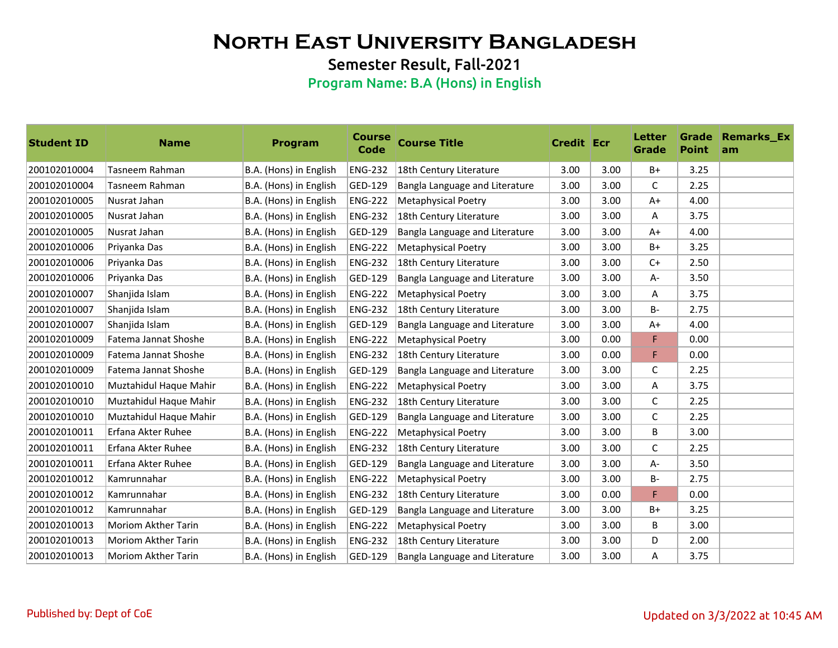Semester Result, Fall-2021

| <b>Student ID</b> | <b>Name</b>                | <b>Program</b>         | <b>Course</b><br>Code | <b>Course Title</b>            | <b>Credit Ecr</b> |      | Letter<br>Grade | <b>Point</b> | <b>Grade Remarks Ex</b><br>am |
|-------------------|----------------------------|------------------------|-----------------------|--------------------------------|-------------------|------|-----------------|--------------|-------------------------------|
| 200102010004      | Tasneem Rahman             | B.A. (Hons) in English | <b>ENG-232</b>        | 18th Century Literature        | 3.00              | 3.00 | B+              | 3.25         |                               |
| 200102010004      | Tasneem Rahman             | B.A. (Hons) in English | GED-129               | Bangla Language and Literature | 3.00              | 3.00 | C               | 2.25         |                               |
| 200102010005      | Nusrat Jahan               | B.A. (Hons) in English | <b>ENG-222</b>        | <b>Metaphysical Poetry</b>     | 3.00              | 3.00 | $A+$            | 4.00         |                               |
| 200102010005      | Nusrat Jahan               | B.A. (Hons) in English | <b>ENG-232</b>        | 18th Century Literature        | 3.00              | 3.00 | A               | 3.75         |                               |
| 200102010005      | Nusrat Jahan               | B.A. (Hons) in English | GED-129               | Bangla Language and Literature | 3.00              | 3.00 | $A+$            | 4.00         |                               |
| 200102010006      | Priyanka Das               | B.A. (Hons) in English | <b>ENG-222</b>        | <b>Metaphysical Poetry</b>     | 3.00              | 3.00 | B+              | 3.25         |                               |
| 200102010006      | Priyanka Das               | B.A. (Hons) in English | <b>ENG-232</b>        | 18th Century Literature        | 3.00              | 3.00 | $C+$            | 2.50         |                               |
| 200102010006      | Priyanka Das               | B.A. (Hons) in English | GED-129               | Bangla Language and Literature | 3.00              | 3.00 | A-              | 3.50         |                               |
| 200102010007      | Shanjida Islam             | B.A. (Hons) in English | <b>ENG-222</b>        | <b>Metaphysical Poetry</b>     | 3.00              | 3.00 | Α               | 3.75         |                               |
| 200102010007      | Shanjida Islam             | B.A. (Hons) in English | <b>ENG-232</b>        | 18th Century Literature        | 3.00              | 3.00 | <b>B-</b>       | 2.75         |                               |
| 200102010007      | Shanjida Islam             | B.A. (Hons) in English | GED-129               | Bangla Language and Literature | 3.00              | 3.00 | $A+$            | 4.00         |                               |
| 200102010009      | Fatema Jannat Shoshe       | B.A. (Hons) in English | <b>ENG-222</b>        | Metaphysical Poetry            | 3.00              | 0.00 | F               | 0.00         |                               |
| 200102010009      | Fatema Jannat Shoshe       | B.A. (Hons) in English | <b>ENG-232</b>        | 18th Century Literature        | 3.00              | 0.00 | F               | 0.00         |                               |
| 200102010009      | Fatema Jannat Shoshe       | B.A. (Hons) in English | GED-129               | Bangla Language and Literature | 3.00              | 3.00 | C               | 2.25         |                               |
| 200102010010      | Muztahidul Haque Mahir     | B.A. (Hons) in English | <b>ENG-222</b>        | <b>Metaphysical Poetry</b>     | 3.00              | 3.00 | A               | 3.75         |                               |
| 200102010010      | Muztahidul Haque Mahir     | B.A. (Hons) in English | <b>ENG-232</b>        | 18th Century Literature        | 3.00              | 3.00 | C               | 2.25         |                               |
| 200102010010      | Muztahidul Haque Mahir     | B.A. (Hons) in English | GED-129               | Bangla Language and Literature | 3.00              | 3.00 | C               | 2.25         |                               |
| 200102010011      | Erfana Akter Ruhee         | B.A. (Hons) in English | <b>ENG-222</b>        | <b>Metaphysical Poetry</b>     | 3.00              | 3.00 | B               | 3.00         |                               |
| 200102010011      | Erfana Akter Ruhee         | B.A. (Hons) in English | <b>ENG-232</b>        | 18th Century Literature        | 3.00              | 3.00 | C               | 2.25         |                               |
| 200102010011      | Erfana Akter Ruhee         | B.A. (Hons) in English | GED-129               | Bangla Language and Literature | 3.00              | 3.00 | A-              | 3.50         |                               |
| 200102010012      | Kamrunnahar                | B.A. (Hons) in English | <b>ENG-222</b>        | <b>Metaphysical Poetry</b>     | 3.00              | 3.00 | B-              | 2.75         |                               |
| 200102010012      | Kamrunnahar                | B.A. (Hons) in English | <b>ENG-232</b>        | 18th Century Literature        | 3.00              | 0.00 | F               | 0.00         |                               |
| 200102010012      | Kamrunnahar                | B.A. (Hons) in English | GED-129               | Bangla Language and Literature | 3.00              | 3.00 | $B+$            | 3.25         |                               |
| 200102010013      | <b>Moriom Akther Tarin</b> | B.A. (Hons) in English | <b>ENG-222</b>        | <b>Metaphysical Poetry</b>     | 3.00              | 3.00 | В               | 3.00         |                               |
| 200102010013      | <b>Moriom Akther Tarin</b> | B.A. (Hons) in English | <b>ENG-232</b>        | 18th Century Literature        | 3.00              | 3.00 | D               | 2.00         |                               |
| 200102010013      | <b>Moriom Akther Tarin</b> | B.A. (Hons) in English | GED-129               | Bangla Language and Literature | 3.00              | 3.00 | A               | 3.75         |                               |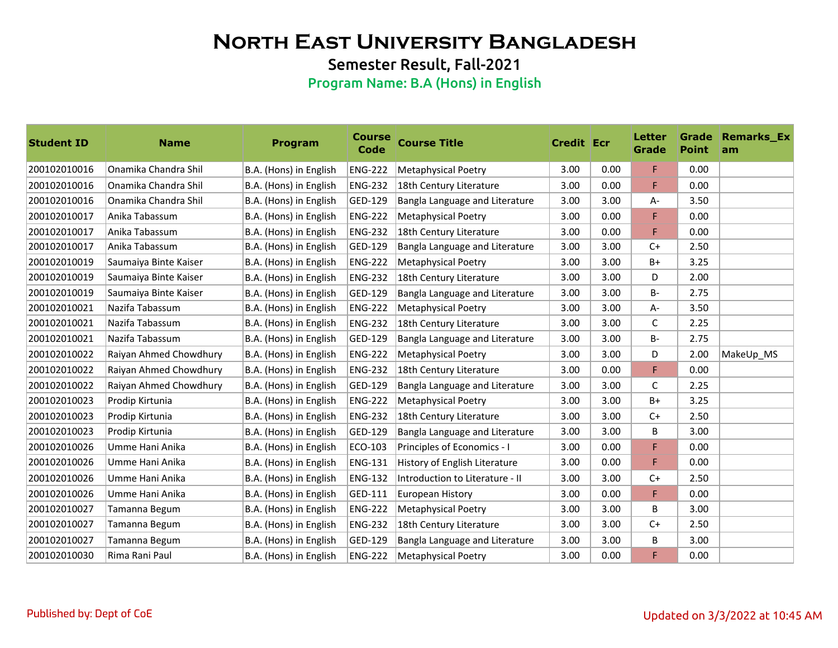Semester Result, Fall-2021

| <b>Student ID</b> | <b>Name</b>            | <b>Program</b>         | <b>Course</b><br>Code | <b>Course Title</b>             | <b>Credit Ecr</b> |      | Letter<br>Grade | <b>Point</b> | <b>Grade Remarks_Ex</b><br>am |
|-------------------|------------------------|------------------------|-----------------------|---------------------------------|-------------------|------|-----------------|--------------|-------------------------------|
| 200102010016      | Onamika Chandra Shil   | B.A. (Hons) in English | <b>ENG-222</b>        | <b>Metaphysical Poetry</b>      | 3.00              | 0.00 | F.              | 0.00         |                               |
| 200102010016      | Onamika Chandra Shil   | B.A. (Hons) in English | <b>ENG-232</b>        | 18th Century Literature         | 3.00              | 0.00 | F               | 0.00         |                               |
| 200102010016      | Onamika Chandra Shil   | B.A. (Hons) in English | GED-129               | Bangla Language and Literature  | 3.00              | 3.00 | A-              | 3.50         |                               |
| 200102010017      | Anika Tabassum         | B.A. (Hons) in English | <b>ENG-222</b>        | <b>Metaphysical Poetry</b>      | 3.00              | 0.00 | F               | 0.00         |                               |
| 200102010017      | Anika Tabassum         | B.A. (Hons) in English | <b>ENG-232</b>        | 18th Century Literature         | 3.00              | 0.00 | F               | 0.00         |                               |
| 200102010017      | Anika Tabassum         | B.A. (Hons) in English | GED-129               | Bangla Language and Literature  | 3.00              | 3.00 | $C+$            | 2.50         |                               |
| 200102010019      | Saumaiya Binte Kaiser  | B.A. (Hons) in English | <b>ENG-222</b>        | <b>Metaphysical Poetry</b>      | 3.00              | 3.00 | B+              | 3.25         |                               |
| 200102010019      | Saumaiya Binte Kaiser  | B.A. (Hons) in English | <b>ENG-232</b>        | 18th Century Literature         | 3.00              | 3.00 | D               | 2.00         |                               |
| 200102010019      | Saumaiya Binte Kaiser  | B.A. (Hons) in English | GED-129               | Bangla Language and Literature  | 3.00              | 3.00 | <b>B-</b>       | 2.75         |                               |
| 200102010021      | Nazifa Tabassum        | B.A. (Hons) in English | <b>ENG-222</b>        | <b>Metaphysical Poetry</b>      | 3.00              | 3.00 | A-              | 3.50         |                               |
| 200102010021      | Nazifa Tabassum        | B.A. (Hons) in English | <b>ENG-232</b>        | 18th Century Literature         | 3.00              | 3.00 | $\mathsf{C}$    | 2.25         |                               |
| 200102010021      | Nazifa Tabassum        | B.A. (Hons) in English | GED-129               | Bangla Language and Literature  | 3.00              | 3.00 | <b>B-</b>       | 2.75         |                               |
| 200102010022      | Raiyan Ahmed Chowdhury | B.A. (Hons) in English | <b>ENG-222</b>        | <b>Metaphysical Poetry</b>      | 3.00              | 3.00 | D               | 2.00         | MakeUp_MS                     |
| 200102010022      | Raiyan Ahmed Chowdhury | B.A. (Hons) in English | <b>ENG-232</b>        | 18th Century Literature         | 3.00              | 0.00 | F               | 0.00         |                               |
| 200102010022      | Raiyan Ahmed Chowdhury | B.A. (Hons) in English | GED-129               | Bangla Language and Literature  | 3.00              | 3.00 | C               | 2.25         |                               |
| 200102010023      | Prodip Kirtunia        | B.A. (Hons) in English | <b>ENG-222</b>        | <b>Metaphysical Poetry</b>      | 3.00              | 3.00 | B+              | 3.25         |                               |
| 200102010023      | Prodip Kirtunia        | B.A. (Hons) in English | <b>ENG-232</b>        | 18th Century Literature         | 3.00              | 3.00 | $C+$            | 2.50         |                               |
| 200102010023      | Prodip Kirtunia        | B.A. (Hons) in English | GED-129               | Bangla Language and Literature  | 3.00              | 3.00 | В               | 3.00         |                               |
| 200102010026      | Umme Hani Anika        | B.A. (Hons) in English | ECO-103               | Principles of Economics - I     | 3.00              | 0.00 | F               | 0.00         |                               |
| 200102010026      | Umme Hani Anika        | B.A. (Hons) in English | <b>ENG-131</b>        | History of English Literature   | 3.00              | 0.00 | F               | 0.00         |                               |
| 200102010026      | Umme Hani Anika        | B.A. (Hons) in English | <b>ENG-132</b>        | Introduction to Literature - II | 3.00              | 3.00 | $C+$            | 2.50         |                               |
| 200102010026      | Umme Hani Anika        | B.A. (Hons) in English | GED-111               | European History                | 3.00              | 0.00 | F               | 0.00         |                               |
| 200102010027      | Tamanna Begum          | B.A. (Hons) in English | <b>ENG-222</b>        | <b>Metaphysical Poetry</b>      | 3.00              | 3.00 | B               | 3.00         |                               |
| 200102010027      | Tamanna Begum          | B.A. (Hons) in English | <b>ENG-232</b>        | 18th Century Literature         | 3.00              | 3.00 | $C+$            | 2.50         |                               |
| 200102010027      | Tamanna Begum          | B.A. (Hons) in English | GED-129               | Bangla Language and Literature  | 3.00              | 3.00 | В               | 3.00         |                               |
| 200102010030      | Rima Rani Paul         | B.A. (Hons) in English | <b>ENG-222</b>        | <b>Metaphysical Poetry</b>      | 3.00              | 0.00 | F               | 0.00         |                               |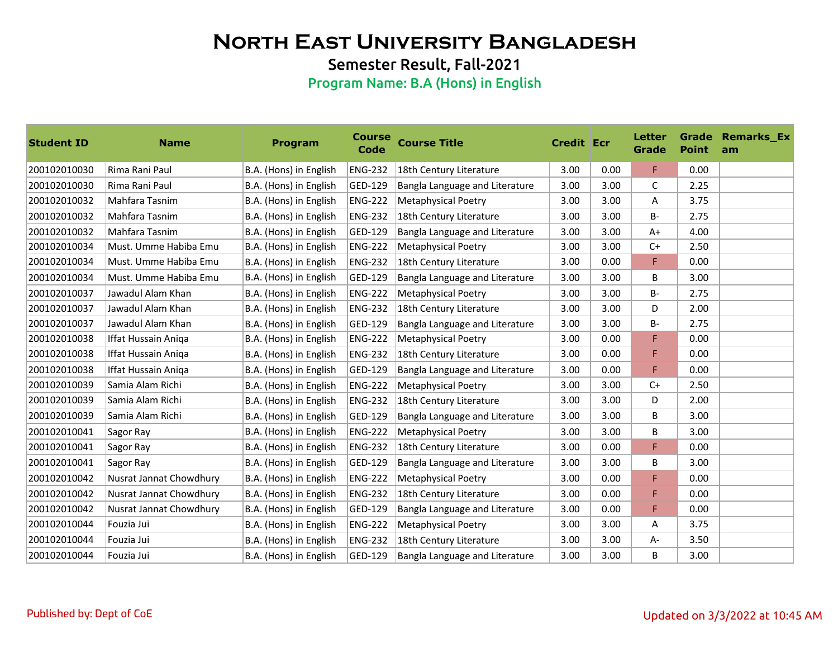Semester Result, Fall-2021

| <b>Student ID</b> | <b>Name</b>             | <b>Program</b>         | <b>Course</b><br>Code | <b>Course Title</b>            | <b>Credit Ecr</b> |      | <b>Letter</b><br>Grade | <b>Point</b> | <b>Grade Remarks_Ex</b><br>am |
|-------------------|-------------------------|------------------------|-----------------------|--------------------------------|-------------------|------|------------------------|--------------|-------------------------------|
| 200102010030      | Rima Rani Paul          | B.A. (Hons) in English | <b>ENG-232</b>        | 18th Century Literature        | 3.00              | 0.00 | F                      | 0.00         |                               |
| 200102010030      | Rima Rani Paul          | B.A. (Hons) in English | GED-129               | Bangla Language and Literature | 3.00              | 3.00 | C                      | 2.25         |                               |
| 200102010032      | Mahfara Tasnim          | B.A. (Hons) in English | <b>ENG-222</b>        | <b>Metaphysical Poetry</b>     | 3.00              | 3.00 | Α                      | 3.75         |                               |
| 200102010032      | Mahfara Tasnim          | B.A. (Hons) in English | <b>ENG-232</b>        | 18th Century Literature        | 3.00              | 3.00 | <b>B-</b>              | 2.75         |                               |
| 200102010032      | Mahfara Tasnim          | B.A. (Hons) in English | GED-129               | Bangla Language and Literature | 3.00              | 3.00 | $A+$                   | 4.00         |                               |
| 200102010034      | Must. Umme Habiba Emu   | B.A. (Hons) in English | <b>ENG-222</b>        | <b>Metaphysical Poetry</b>     | 3.00              | 3.00 | $C+$                   | 2.50         |                               |
| 200102010034      | Must. Umme Habiba Emu   | B.A. (Hons) in English | <b>ENG-232</b>        | 18th Century Literature        | 3.00              | 0.00 | F                      | 0.00         |                               |
| 200102010034      | Must. Umme Habiba Emu   | B.A. (Hons) in English | GED-129               | Bangla Language and Literature | 3.00              | 3.00 | B                      | 3.00         |                               |
| 200102010037      | Jawadul Alam Khan       | B.A. (Hons) in English | <b>ENG-222</b>        | Metaphysical Poetry            | 3.00              | 3.00 | <b>B-</b>              | 2.75         |                               |
| 200102010037      | Jawadul Alam Khan       | B.A. (Hons) in English | <b>ENG-232</b>        | 18th Century Literature        | 3.00              | 3.00 | D                      | 2.00         |                               |
| 200102010037      | Jawadul Alam Khan       | B.A. (Hons) in English | GED-129               | Bangla Language and Literature | 3.00              | 3.00 | B-                     | 2.75         |                               |
| 200102010038      | Iffat Hussain Aniqa     | B.A. (Hons) in English | <b>ENG-222</b>        | <b>Metaphysical Poetry</b>     | 3.00              | 0.00 | F                      | 0.00         |                               |
| 200102010038      | Iffat Hussain Aniga     | B.A. (Hons) in English | <b>ENG-232</b>        | 18th Century Literature        | 3.00              | 0.00 | F                      | 0.00         |                               |
| 200102010038      | Iffat Hussain Aniqa     | B.A. (Hons) in English | GED-129               | Bangla Language and Literature | 3.00              | 0.00 | F                      | 0.00         |                               |
| 200102010039      | Samia Alam Richi        | B.A. (Hons) in English | <b>ENG-222</b>        | <b>Metaphysical Poetry</b>     | 3.00              | 3.00 | $C+$                   | 2.50         |                               |
| 200102010039      | Samia Alam Richi        | B.A. (Hons) in English | <b>ENG-232</b>        | 18th Century Literature        | 3.00              | 3.00 | D                      | 2.00         |                               |
| 200102010039      | Samia Alam Richi        | B.A. (Hons) in English | GED-129               | Bangla Language and Literature | 3.00              | 3.00 | B                      | 3.00         |                               |
| 200102010041      | Sagor Ray               | B.A. (Hons) in English | <b>ENG-222</b>        | <b>Metaphysical Poetry</b>     | 3.00              | 3.00 | В                      | 3.00         |                               |
| 200102010041      | Sagor Ray               | B.A. (Hons) in English | <b>ENG-232</b>        | 18th Century Literature        | 3.00              | 0.00 | F                      | 0.00         |                               |
| 200102010041      | Sagor Ray               | B.A. (Hons) in English | GED-129               | Bangla Language and Literature | 3.00              | 3.00 | B                      | 3.00         |                               |
| 200102010042      | Nusrat Jannat Chowdhury | B.A. (Hons) in English | <b>ENG-222</b>        | <b>Metaphysical Poetry</b>     | 3.00              | 0.00 | F                      | 0.00         |                               |
| 200102010042      | Nusrat Jannat Chowdhury | B.A. (Hons) in English | <b>ENG-232</b>        | 18th Century Literature        | 3.00              | 0.00 | F                      | 0.00         |                               |
| 200102010042      | Nusrat Jannat Chowdhury | B.A. (Hons) in English | GED-129               | Bangla Language and Literature | 3.00              | 0.00 | F                      | 0.00         |                               |
| 200102010044      | Fouzia Jui              | B.A. (Hons) in English | <b>ENG-222</b>        | <b>Metaphysical Poetry</b>     | 3.00              | 3.00 | A                      | 3.75         |                               |
| 200102010044      | Fouzia Jui              | B.A. (Hons) in English | <b>ENG-232</b>        | 18th Century Literature        | 3.00              | 3.00 | A-                     | 3.50         |                               |
| 200102010044      | Fouzia Jui              | B.A. (Hons) in English | GED-129               | Bangla Language and Literature | 3.00              | 3.00 | B                      | 3.00         |                               |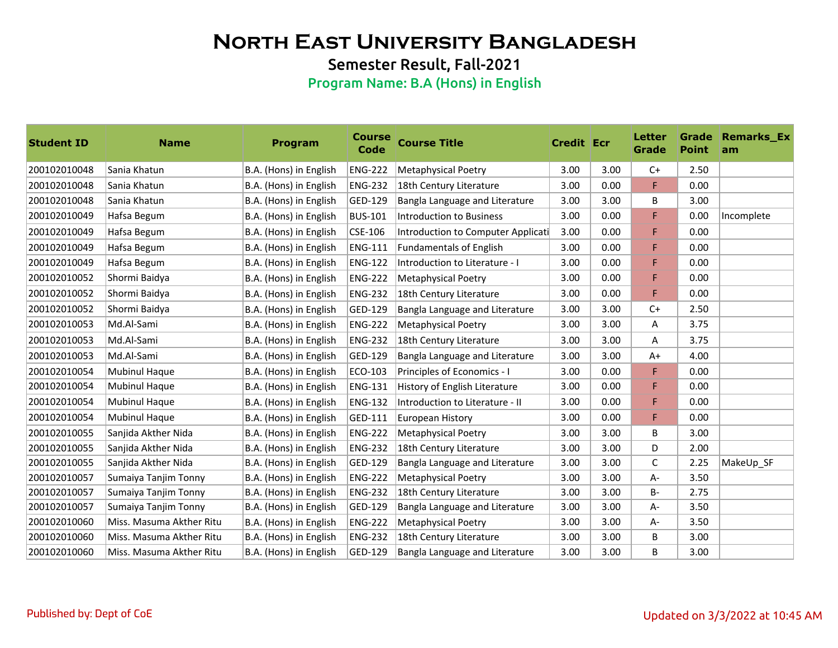Semester Result, Fall-2021

| <b>Student ID</b> | <b>Name</b>              | <b>Program</b>         | <b>Course</b><br>Code | <b>Course Title</b>                | <b>Credit Ecr</b> |      | Letter<br>Grade | <b>Point</b> | <b>Grade Remarks Ex</b><br>am |
|-------------------|--------------------------|------------------------|-----------------------|------------------------------------|-------------------|------|-----------------|--------------|-------------------------------|
| 200102010048      | Sania Khatun             | B.A. (Hons) in English | <b>ENG-222</b>        | <b>Metaphysical Poetry</b>         | 3.00              | 3.00 | $C+$            | 2.50         |                               |
| 200102010048      | Sania Khatun             | B.A. (Hons) in English | <b>ENG-232</b>        | 18th Century Literature            | 3.00              | 0.00 | F               | 0.00         |                               |
| 200102010048      | Sania Khatun             | B.A. (Hons) in English | GED-129               | Bangla Language and Literature     | 3.00              | 3.00 | В               | 3.00         |                               |
| 200102010049      | Hafsa Begum              | B.A. (Hons) in English | <b>BUS-101</b>        | Introduction to Business           | 3.00              | 0.00 | F               | 0.00         | Incomplete                    |
| 200102010049      | Hafsa Begum              | B.A. (Hons) in English | CSE-106               | Introduction to Computer Applicati | 3.00              | 0.00 | F               | 0.00         |                               |
| 200102010049      | Hafsa Begum              | B.A. (Hons) in English | <b>ENG-111</b>        | <b>Fundamentals of English</b>     | 3.00              | 0.00 | F               | 0.00         |                               |
| 200102010049      | Hafsa Begum              | B.A. (Hons) in English | <b>ENG-122</b>        | Introduction to Literature - I     | 3.00              | 0.00 | F               | 0.00         |                               |
| 200102010052      | Shormi Baidya            | B.A. (Hons) in English | <b>ENG-222</b>        | <b>Metaphysical Poetry</b>         | 3.00              | 0.00 | F               | 0.00         |                               |
| 200102010052      | Shormi Baidya            | B.A. (Hons) in English | <b>ENG-232</b>        | 18th Century Literature            | 3.00              | 0.00 | F               | 0.00         |                               |
| 200102010052      | Shormi Baidya            | B.A. (Hons) in English | GED-129               | Bangla Language and Literature     | 3.00              | 3.00 | $C+$            | 2.50         |                               |
| 200102010053      | Md.Al-Sami               | B.A. (Hons) in English | <b>ENG-222</b>        | <b>Metaphysical Poetry</b>         | 3.00              | 3.00 | A               | 3.75         |                               |
| 200102010053      | Md.Al-Sami               | B.A. (Hons) in English | <b>ENG-232</b>        | 18th Century Literature            | 3.00              | 3.00 | Α               | 3.75         |                               |
| 200102010053      | Md.Al-Sami               | B.A. (Hons) in English | GED-129               | Bangla Language and Literature     | 3.00              | 3.00 | A+              | 4.00         |                               |
| 200102010054      | Mubinul Haque            | B.A. (Hons) in English | ECO-103               | Principles of Economics - I        | 3.00              | 0.00 | F               | 0.00         |                               |
| 200102010054      | Mubinul Haque            | B.A. (Hons) in English | <b>ENG-131</b>        | History of English Literature      | 3.00              | 0.00 | F               | 0.00         |                               |
| 200102010054      | <b>Mubinul Haque</b>     | B.A. (Hons) in English | <b>ENG-132</b>        | Introduction to Literature - II    | 3.00              | 0.00 | F               | 0.00         |                               |
| 200102010054      | <b>Mubinul Haque</b>     | B.A. (Hons) in English | GED-111               | European History                   | 3.00              | 0.00 | F               | 0.00         |                               |
| 200102010055      | Sanjida Akther Nida      | B.A. (Hons) in English | <b>ENG-222</b>        | <b>Metaphysical Poetry</b>         | 3.00              | 3.00 | B               | 3.00         |                               |
| 200102010055      | Sanjida Akther Nida      | B.A. (Hons) in English | <b>ENG-232</b>        | 18th Century Literature            | 3.00              | 3.00 | D               | 2.00         |                               |
| 200102010055      | Sanjida Akther Nida      | B.A. (Hons) in English | GED-129               | Bangla Language and Literature     | 3.00              | 3.00 | C               | 2.25         | MakeUp_SF                     |
| 200102010057      | Sumaiya Tanjim Tonny     | B.A. (Hons) in English | <b>ENG-222</b>        | <b>Metaphysical Poetry</b>         | 3.00              | 3.00 | A-              | 3.50         |                               |
| 200102010057      | Sumaiya Tanjim Tonny     | B.A. (Hons) in English | <b>ENG-232</b>        | 18th Century Literature            | 3.00              | 3.00 | <b>B-</b>       | 2.75         |                               |
| 200102010057      | Sumaiya Tanjim Tonny     | B.A. (Hons) in English | GED-129               | Bangla Language and Literature     | 3.00              | 3.00 | A-              | 3.50         |                               |
| 200102010060      | Miss. Masuma Akther Ritu | B.A. (Hons) in English | <b>ENG-222</b>        | Metaphysical Poetry                | 3.00              | 3.00 | A-              | 3.50         |                               |
| 200102010060      | Miss. Masuma Akther Ritu | B.A. (Hons) in English | <b>ENG-232</b>        | 18th Century Literature            | 3.00              | 3.00 | В               | 3.00         |                               |
| 200102010060      | Miss. Masuma Akther Ritu | B.A. (Hons) in English | GED-129               | Bangla Language and Literature     | 3.00              | 3.00 | B               | 3.00         |                               |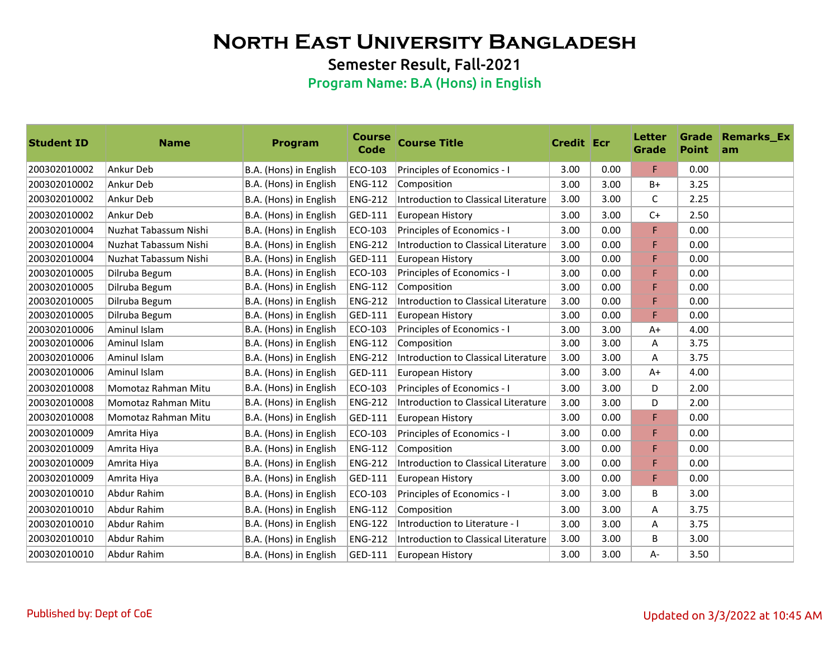Semester Result, Fall-2021

| <b>Student ID</b> | <b>Name</b>           | <b>Program</b>         | <b>Course</b><br><b>Code</b> | <b>Course Title</b>                         | <b>Credit Ecr</b> |      | Letter<br>Grade | <b>Point</b> | <b>Grade Remarks_Ex</b><br>am |
|-------------------|-----------------------|------------------------|------------------------------|---------------------------------------------|-------------------|------|-----------------|--------------|-------------------------------|
| 200302010002      | Ankur Deb             | B.A. (Hons) in English | ECO-103                      | Principles of Economics - I                 | 3.00              | 0.00 | F.              | 0.00         |                               |
| 200302010002      | Ankur Deb             | B.A. (Hons) in English | <b>ENG-112</b>               | Composition                                 | 3.00              | 3.00 | $B+$            | 3.25         |                               |
| 200302010002      | Ankur Deb             | B.A. (Hons) in English | <b>ENG-212</b>               | <b>Introduction to Classical Literature</b> | 3.00              | 3.00 | $\mathsf{C}$    | 2.25         |                               |
| 200302010002      | Ankur Deb             | B.A. (Hons) in English | GED-111                      | European History                            | 3.00              | 3.00 | $C+$            | 2.50         |                               |
| 200302010004      | Nuzhat Tabassum Nishi | B.A. (Hons) in English | ECO-103                      | Principles of Economics - I                 | 3.00              | 0.00 | F               | 0.00         |                               |
| 200302010004      | Nuzhat Tabassum Nishi | B.A. (Hons) in English | <b>ENG-212</b>               | Introduction to Classical Literature        | 3.00              | 0.00 | F               | 0.00         |                               |
| 200302010004      | Nuzhat Tabassum Nishi | B.A. (Hons) in English | GED-111                      | European History                            | 3.00              | 0.00 | F               | 0.00         |                               |
| 200302010005      | Dilruba Begum         | B.A. (Hons) in English | ECO-103                      | Principles of Economics - I                 | 3.00              | 0.00 | F               | 0.00         |                               |
| 200302010005      | Dilruba Begum         | B.A. (Hons) in English | <b>ENG-112</b>               | Composition                                 | 3.00              | 0.00 | F               | 0.00         |                               |
| 200302010005      | Dilruba Begum         | B.A. (Hons) in English | <b>ENG-212</b>               | Introduction to Classical Literature        | 3.00              | 0.00 | F               | 0.00         |                               |
| 200302010005      | Dilruba Begum         | B.A. (Hons) in English | GED-111                      | European History                            | 3.00              | 0.00 | F               | 0.00         |                               |
| 200302010006      | Aminul Islam          | B.A. (Hons) in English | ECO-103                      | Principles of Economics - I                 | 3.00              | 3.00 | $A+$            | 4.00         |                               |
| 200302010006      | Aminul Islam          | B.A. (Hons) in English | <b>ENG-112</b>               | Composition                                 | 3.00              | 3.00 | A               | 3.75         |                               |
| 200302010006      | Aminul Islam          | B.A. (Hons) in English | <b>ENG-212</b>               | Introduction to Classical Literature        | 3.00              | 3.00 | Α               | 3.75         |                               |
| 200302010006      | Aminul Islam          | B.A. (Hons) in English | GED-111                      | European History                            | 3.00              | 3.00 | $A+$            | 4.00         |                               |
| 200302010008      | Momotaz Rahman Mitu   | B.A. (Hons) in English | ECO-103                      | Principles of Economics - I                 | 3.00              | 3.00 | D               | 2.00         |                               |
| 200302010008      | Momotaz Rahman Mitu   | B.A. (Hons) in English | <b>ENG-212</b>               | <b>Introduction to Classical Literature</b> | 3.00              | 3.00 | D               | 2.00         |                               |
| 200302010008      | Momotaz Rahman Mitu   | B.A. (Hons) in English | GED-111                      | European History                            | 3.00              | 0.00 | F               | 0.00         |                               |
| 200302010009      | Amrita Hiya           | B.A. (Hons) in English | ECO-103                      | Principles of Economics - I                 | 3.00              | 0.00 | F               | 0.00         |                               |
| 200302010009      | Amrita Hiya           | B.A. (Hons) in English | <b>ENG-112</b>               | Composition                                 | 3.00              | 0.00 | F               | 0.00         |                               |
| 200302010009      | Amrita Hiya           | B.A. (Hons) in English | <b>ENG-212</b>               | <b>Introduction to Classical Literature</b> | 3.00              | 0.00 | F               | 0.00         |                               |
| 200302010009      | Amrita Hiya           | B.A. (Hons) in English | GED-111                      | European History                            | 3.00              | 0.00 | F               | 0.00         |                               |
| 200302010010      | Abdur Rahim           | B.A. (Hons) in English | ECO-103                      | Principles of Economics - I                 | 3.00              | 3.00 | B               | 3.00         |                               |
| 200302010010      | Abdur Rahim           | B.A. (Hons) in English | <b>ENG-112</b>               | Composition                                 | 3.00              | 3.00 | Α               | 3.75         |                               |
| 200302010010      | Abdur Rahim           | B.A. (Hons) in English | <b>ENG-122</b>               | Introduction to Literature - I              | 3.00              | 3.00 | Α               | 3.75         |                               |
| 200302010010      | Abdur Rahim           | B.A. (Hons) in English | <b>ENG-212</b>               | Introduction to Classical Literature        | 3.00              | 3.00 | B               | 3.00         |                               |
| 200302010010      | Abdur Rahim           | B.A. (Hons) in English | GED-111                      | European History                            | 3.00              | 3.00 | $A -$           | 3.50         |                               |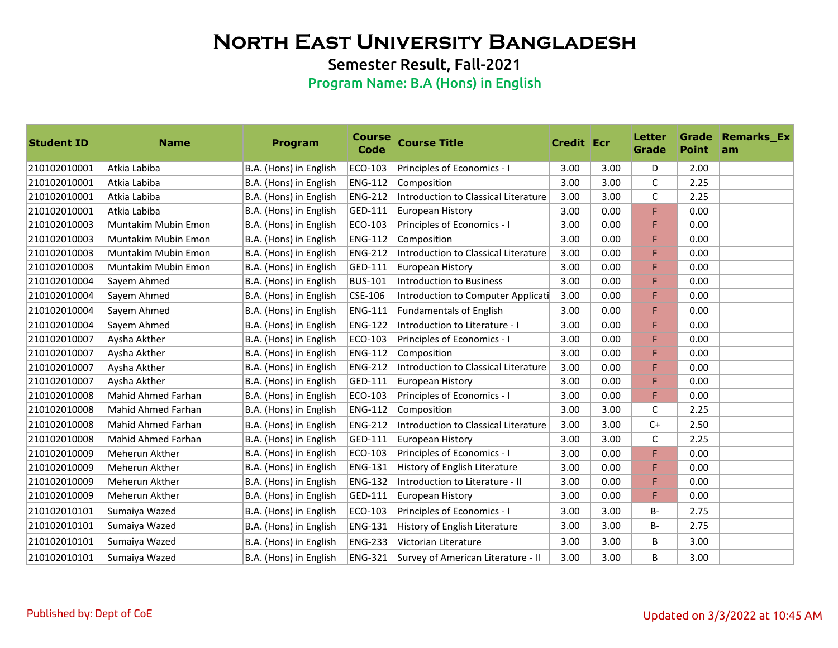Semester Result, Fall-2021

| <b>Student ID</b> | <b>Name</b>               | <b>Program</b>         | <b>Course</b><br><b>Code</b> | <b>Course Title</b>                         | <b>Credit Ecr</b> |      | Letter<br>Grade | <b>Point</b> | <b>Grade Remarks Ex</b><br>am |
|-------------------|---------------------------|------------------------|------------------------------|---------------------------------------------|-------------------|------|-----------------|--------------|-------------------------------|
| 210102010001      | Atkia Labiba              | B.A. (Hons) in English | ECO-103                      | Principles of Economics - I                 | 3.00              | 3.00 | D               | 2.00         |                               |
| 210102010001      | Atkia Labiba              | B.A. (Hons) in English | <b>ENG-112</b>               | Composition                                 | 3.00              | 3.00 | C               | 2.25         |                               |
| 210102010001      | Atkia Labiba              | B.A. (Hons) in English | <b>ENG-212</b>               | <b>Introduction to Classical Literature</b> | 3.00              | 3.00 | $\mathsf C$     | 2.25         |                               |
| 210102010001      | Atkia Labiba              | B.A. (Hons) in English | GED-111                      | European History                            | 3.00              | 0.00 | F               | 0.00         |                               |
| 210102010003      | Muntakim Mubin Emon       | B.A. (Hons) in English | ECO-103                      | Principles of Economics - I                 | 3.00              | 0.00 | F               | 0.00         |                               |
| 210102010003      | Muntakim Mubin Emon       | B.A. (Hons) in English | <b>ENG-112</b>               | Composition                                 | 3.00              | 0.00 | F               | 0.00         |                               |
| 210102010003      | Muntakim Mubin Emon       | B.A. (Hons) in English | <b>ENG-212</b>               | Introduction to Classical Literature        | 3.00              | 0.00 | F               | 0.00         |                               |
| 210102010003      | Muntakim Mubin Emon       | B.A. (Hons) in English | GED-111                      | European History                            | 3.00              | 0.00 | F               | 0.00         |                               |
| 210102010004      | Sayem Ahmed               | B.A. (Hons) in English | <b>BUS-101</b>               | <b>Introduction to Business</b>             | 3.00              | 0.00 | F               | 0.00         |                               |
| 210102010004      | Sayem Ahmed               | B.A. (Hons) in English | CSE-106                      | Introduction to Computer Applicati          | 3.00              | 0.00 | F               | 0.00         |                               |
| 210102010004      | Sayem Ahmed               | B.A. (Hons) in English | <b>ENG-111</b>               | <b>Fundamentals of English</b>              | 3.00              | 0.00 | F               | 0.00         |                               |
| 210102010004      | Sayem Ahmed               | B.A. (Hons) in English | <b>ENG-122</b>               | Introduction to Literature - I              | 3.00              | 0.00 | F               | 0.00         |                               |
| 210102010007      | Aysha Akther              | B.A. (Hons) in English | ECO-103                      | Principles of Economics - I                 | 3.00              | 0.00 | F               | 0.00         |                               |
| 210102010007      | Aysha Akther              | B.A. (Hons) in English | <b>ENG-112</b>               | Composition                                 | 3.00              | 0.00 | F               | 0.00         |                               |
| 210102010007      | Aysha Akther              | B.A. (Hons) in English | <b>ENG-212</b>               | Introduction to Classical Literature        | 3.00              | 0.00 | F               | 0.00         |                               |
| 210102010007      | Aysha Akther              | B.A. (Hons) in English | GED-111                      | European History                            | 3.00              | 0.00 | F               | 0.00         |                               |
| 210102010008      | <b>Mahid Ahmed Farhan</b> | B.A. (Hons) in English | ECO-103                      | Principles of Economics - I                 | 3.00              | 0.00 | F               | 0.00         |                               |
| 210102010008      | Mahid Ahmed Farhan        | B.A. (Hons) in English | <b>ENG-112</b>               | Composition                                 | 3.00              | 3.00 | C               | 2.25         |                               |
| 210102010008      | Mahid Ahmed Farhan        | B.A. (Hons) in English | <b>ENG-212</b>               | Introduction to Classical Literature        | 3.00              | 3.00 | $C+$            | 2.50         |                               |
| 210102010008      | Mahid Ahmed Farhan        | B.A. (Hons) in English | GED-111                      | European History                            | 3.00              | 3.00 | C               | 2.25         |                               |
| 210102010009      | <b>Meherun Akther</b>     | B.A. (Hons) in English | ECO-103                      | Principles of Economics - I                 | 3.00              | 0.00 | F               | 0.00         |                               |
| 210102010009      | Meherun Akther            | B.A. (Hons) in English | <b>ENG-131</b>               | History of English Literature               | 3.00              | 0.00 | F               | 0.00         |                               |
| 210102010009      | Meherun Akther            | B.A. (Hons) in English | <b>ENG-132</b>               | Introduction to Literature - II             | 3.00              | 0.00 | F               | 0.00         |                               |
| 210102010009      | Meherun Akther            | B.A. (Hons) in English | GED-111                      | European History                            | 3.00              | 0.00 | F               | 0.00         |                               |
| 210102010101      | Sumaiya Wazed             | B.A. (Hons) in English | ECO-103                      | Principles of Economics - I                 | 3.00              | 3.00 | $B -$           | 2.75         |                               |
| 210102010101      | Sumaiya Wazed             | B.A. (Hons) in English | <b>ENG-131</b>               | History of English Literature               | 3.00              | 3.00 | B-              | 2.75         |                               |
| 210102010101      | Sumaiya Wazed             | B.A. (Hons) in English | <b>ENG-233</b>               | Victorian Literature                        | 3.00              | 3.00 | В               | 3.00         |                               |
| 210102010101      | Sumaiya Wazed             | B.A. (Hons) in English | <b>ENG-321</b>               | Survey of American Literature - II          | 3.00              | 3.00 | B               | 3.00         |                               |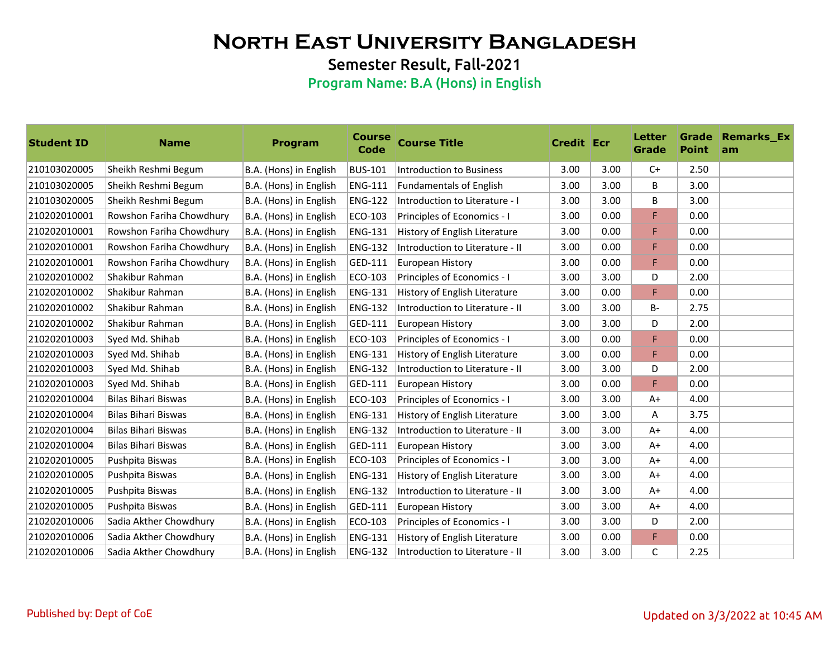Semester Result, Fall-2021

| <b>Student ID</b> | <b>Name</b>              | <b>Program</b>         | <b>Course</b><br>Code | <b>Course Title</b>             | <b>Credit Ecr</b> |      | Letter<br>Grade | <b>Point</b> | <b>Grade Remarks Ex</b><br>am |
|-------------------|--------------------------|------------------------|-----------------------|---------------------------------|-------------------|------|-----------------|--------------|-------------------------------|
| 210103020005      | Sheikh Reshmi Begum      | B.A. (Hons) in English | <b>BUS-101</b>        | <b>Introduction to Business</b> | 3.00              | 3.00 | $C+$            | 2.50         |                               |
| 210103020005      | Sheikh Reshmi Begum      | B.A. (Hons) in English | <b>ENG-111</b>        | <b>Fundamentals of English</b>  | 3.00              | 3.00 | В               | 3.00         |                               |
| 210103020005      | Sheikh Reshmi Begum      | B.A. (Hons) in English | <b>ENG-122</b>        | Introduction to Literature - I  | 3.00              | 3.00 | В               | 3.00         |                               |
| 210202010001      | Rowshon Fariha Chowdhury | B.A. (Hons) in English | ECO-103               | Principles of Economics - I     | 3.00              | 0.00 | F               | 0.00         |                               |
| 210202010001      | Rowshon Fariha Chowdhury | B.A. (Hons) in English | <b>ENG-131</b>        | History of English Literature   | 3.00              | 0.00 | F               | 0.00         |                               |
| 210202010001      | Rowshon Fariha Chowdhury | B.A. (Hons) in English | <b>ENG-132</b>        | Introduction to Literature - II | 3.00              | 0.00 | F               | 0.00         |                               |
| 210202010001      | Rowshon Fariha Chowdhury | B.A. (Hons) in English | GED-111               | European History                | 3.00              | 0.00 | F               | 0.00         |                               |
| 210202010002      | Shakibur Rahman          | B.A. (Hons) in English | ECO-103               | Principles of Economics - I     | 3.00              | 3.00 | D               | 2.00         |                               |
| 210202010002      | Shakibur Rahman          | B.A. (Hons) in English | <b>ENG-131</b>        | History of English Literature   | 3.00              | 0.00 | F               | 0.00         |                               |
| 210202010002      | Shakibur Rahman          | B.A. (Hons) in English | <b>ENG-132</b>        | Introduction to Literature - II | 3.00              | 3.00 | <b>B-</b>       | 2.75         |                               |
| 210202010002      | Shakibur Rahman          | B.A. (Hons) in English | GED-111               | <b>European History</b>         | 3.00              | 3.00 | D               | 2.00         |                               |
| 210202010003      | Syed Md. Shihab          | B.A. (Hons) in English | ECO-103               | Principles of Economics - I     | 3.00              | 0.00 | F               | 0.00         |                               |
| 210202010003      | Syed Md. Shihab          | B.A. (Hons) in English | <b>ENG-131</b>        | History of English Literature   | 3.00              | 0.00 | F               | 0.00         |                               |
| 210202010003      | Syed Md. Shihab          | B.A. (Hons) in English | <b>ENG-132</b>        | Introduction to Literature - II | 3.00              | 3.00 | D               | 2.00         |                               |
| 210202010003      | Syed Md. Shihab          | B.A. (Hons) in English | GED-111               | European History                | 3.00              | 0.00 | F               | 0.00         |                               |
| 210202010004      | Bilas Bihari Biswas      | B.A. (Hons) in English | ECO-103               | Principles of Economics - I     | 3.00              | 3.00 | $A+$            | 4.00         |                               |
| 210202010004      | Bilas Bihari Biswas      | B.A. (Hons) in English | <b>ENG-131</b>        | History of English Literature   | 3.00              | 3.00 | Α               | 3.75         |                               |
| 210202010004      | Bilas Bihari Biswas      | B.A. (Hons) in English | <b>ENG-132</b>        | Introduction to Literature - II | 3.00              | 3.00 | $A+$            | 4.00         |                               |
| 210202010004      | Bilas Bihari Biswas      | B.A. (Hons) in English | GED-111               | European History                | 3.00              | 3.00 | $A+$            | 4.00         |                               |
| 210202010005      | Pushpita Biswas          | B.A. (Hons) in English | ECO-103               | Principles of Economics - I     | 3.00              | 3.00 | $A+$            | 4.00         |                               |
| 210202010005      | Pushpita Biswas          | B.A. (Hons) in English | <b>ENG-131</b>        | History of English Literature   | 3.00              | 3.00 | $A+$            | 4.00         |                               |
| 210202010005      | Pushpita Biswas          | B.A. (Hons) in English | <b>ENG-132</b>        | Introduction to Literature - II | 3.00              | 3.00 | $A+$            | 4.00         |                               |
| 210202010005      | Pushpita Biswas          | B.A. (Hons) in English | GED-111               | European History                | 3.00              | 3.00 | $A+$            | 4.00         |                               |
| 210202010006      | Sadia Akther Chowdhury   | B.A. (Hons) in English | ECO-103               | Principles of Economics - I     | 3.00              | 3.00 | D               | 2.00         |                               |
| 210202010006      | Sadia Akther Chowdhury   | B.A. (Hons) in English | <b>ENG-131</b>        | History of English Literature   | 3.00              | 0.00 | F               | 0.00         |                               |
| 210202010006      | Sadia Akther Chowdhury   | B.A. (Hons) in English | <b>ENG-132</b>        | Introduction to Literature - II | 3.00              | 3.00 | C               | 2.25         |                               |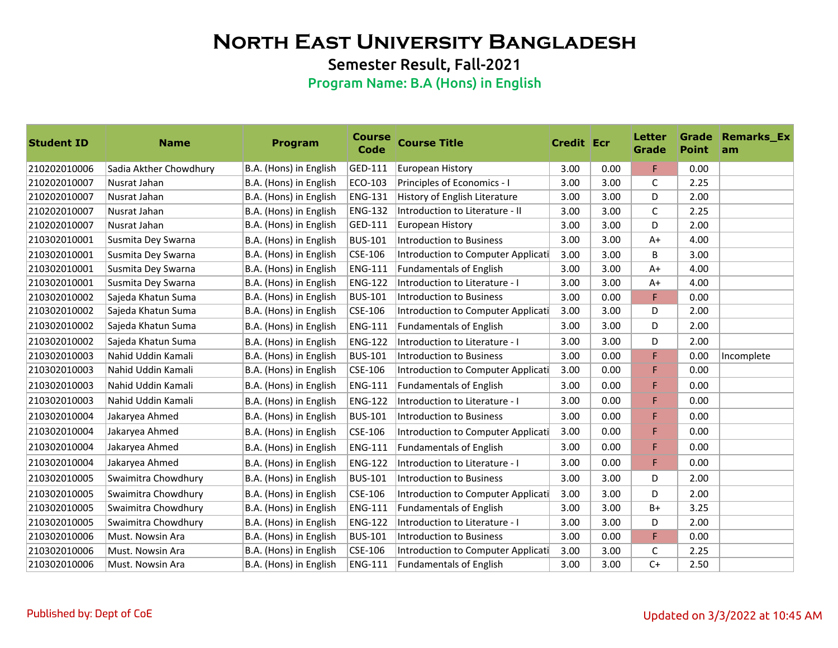Semester Result, Fall-2021

| <b>Student ID</b> | <b>Name</b>            | Program                | <b>Course</b><br><b>Code</b> | <b>Course Title</b>                | <b>Credit Ecr</b> |      | <b>Letter</b><br>Grade | <b>Point</b> | <b>Grade Remarks_Ex</b><br>am |
|-------------------|------------------------|------------------------|------------------------------|------------------------------------|-------------------|------|------------------------|--------------|-------------------------------|
| 210202010006      | Sadia Akther Chowdhury | B.A. (Hons) in English | GED-111                      | <b>European History</b>            | 3.00              | 0.00 | F.                     | 0.00         |                               |
| 210202010007      | Nusrat Jahan           | B.A. (Hons) in English | ECO-103                      | Principles of Economics - I        | 3.00              | 3.00 | C                      | 2.25         |                               |
| 210202010007      | Nusrat Jahan           | B.A. (Hons) in English | <b>ENG-131</b>               | History of English Literature      | 3.00              | 3.00 | D                      | 2.00         |                               |
| 210202010007      | Nusrat Jahan           | B.A. (Hons) in English | <b>ENG-132</b>               | Introduction to Literature - II    | 3.00              | 3.00 | C                      | 2.25         |                               |
| 210202010007      | Nusrat Jahan           | B.A. (Hons) in English | GED-111                      | <b>European History</b>            | 3.00              | 3.00 | D                      | 2.00         |                               |
| 210302010001      | Susmita Dey Swarna     | B.A. (Hons) in English | <b>BUS-101</b>               | <b>Introduction to Business</b>    | 3.00              | 3.00 | $A+$                   | 4.00         |                               |
| 210302010001      | Susmita Dey Swarna     | B.A. (Hons) in English | CSE-106                      | Introduction to Computer Applicati | 3.00              | 3.00 | B                      | 3.00         |                               |
| 210302010001      | Susmita Dey Swarna     | B.A. (Hons) in English | <b>ENG-111</b>               | <b>Fundamentals of English</b>     | 3.00              | 3.00 | $A+$                   | 4.00         |                               |
| 210302010001      | Susmita Dey Swarna     | B.A. (Hons) in English | <b>ENG-122</b>               | Introduction to Literature - I     | 3.00              | 3.00 | A+                     | 4.00         |                               |
| 210302010002      | Sajeda Khatun Suma     | B.A. (Hons) in English | <b>BUS-101</b>               | <b>Introduction to Business</b>    | 3.00              | 0.00 | F                      | 0.00         |                               |
| 210302010002      | Sajeda Khatun Suma     | B.A. (Hons) in English | CSE-106                      | Introduction to Computer Applicati | 3.00              | 3.00 | D                      | 2.00         |                               |
| 210302010002      | Sajeda Khatun Suma     | B.A. (Hons) in English | <b>ENG-111</b>               | <b>Fundamentals of English</b>     | 3.00              | 3.00 | D                      | 2.00         |                               |
| 210302010002      | Sajeda Khatun Suma     | B.A. (Hons) in English | <b>ENG-122</b>               | Introduction to Literature - I     | 3.00              | 3.00 | D                      | 2.00         |                               |
| 210302010003      | Nahid Uddin Kamali     | B.A. (Hons) in English | <b>BUS-101</b>               | <b>Introduction to Business</b>    | 3.00              | 0.00 | F                      | 0.00         | Incomplete                    |
| 210302010003      | Nahid Uddin Kamali     | B.A. (Hons) in English | CSE-106                      | Introduction to Computer Applicati | 3.00              | 0.00 | F                      | 0.00         |                               |
| 210302010003      | Nahid Uddin Kamali     | B.A. (Hons) in English | <b>ENG-111</b>               | <b>Fundamentals of English</b>     | 3.00              | 0.00 | F                      | 0.00         |                               |
| 210302010003      | Nahid Uddin Kamali     | B.A. (Hons) in English | <b>ENG-122</b>               | Introduction to Literature - I     | 3.00              | 0.00 | F                      | 0.00         |                               |
| 210302010004      | Jakaryea Ahmed         | B.A. (Hons) in English | <b>BUS-101</b>               | Introduction to Business           | 3.00              | 0.00 | F                      | 0.00         |                               |
| 210302010004      | Jakaryea Ahmed         | B.A. (Hons) in English | CSE-106                      | Introduction to Computer Applicati | 3.00              | 0.00 | F                      | 0.00         |                               |
| 210302010004      | Jakaryea Ahmed         | B.A. (Hons) in English | <b>ENG-111</b>               | <b>Fundamentals of English</b>     | 3.00              | 0.00 | F                      | 0.00         |                               |
| 210302010004      | Jakaryea Ahmed         | B.A. (Hons) in English | <b>ENG-122</b>               | Introduction to Literature - I     | 3.00              | 0.00 | F                      | 0.00         |                               |
| 210302010005      | Swaimitra Chowdhury    | B.A. (Hons) in English | <b>BUS-101</b>               | Introduction to Business           | 3.00              | 3.00 | D                      | 2.00         |                               |
| 210302010005      | Swaimitra Chowdhury    | B.A. (Hons) in English | CSE-106                      | Introduction to Computer Applicati | 3.00              | 3.00 | D                      | 2.00         |                               |
| 210302010005      | Swaimitra Chowdhury    | B.A. (Hons) in English | <b>ENG-111</b>               | <b>Fundamentals of English</b>     | 3.00              | 3.00 | $B+$                   | 3.25         |                               |
| 210302010005      | Swaimitra Chowdhury    | B.A. (Hons) in English | <b>ENG-122</b>               | Introduction to Literature - I     | 3.00              | 3.00 | D                      | 2.00         |                               |
| 210302010006      | Must. Nowsin Ara       | B.A. (Hons) in English | <b>BUS-101</b>               | <b>Introduction to Business</b>    | 3.00              | 0.00 | F                      | 0.00         |                               |
| 210302010006      | Must. Nowsin Ara       | B.A. (Hons) in English | CSE-106                      | Introduction to Computer Applicati | 3.00              | 3.00 | C                      | 2.25         |                               |
| 210302010006      | Must. Nowsin Ara       | B.A. (Hons) in English | <b>ENG-111</b>               | <b>Fundamentals of English</b>     | 3.00              | 3.00 | $C+$                   | 2.50         |                               |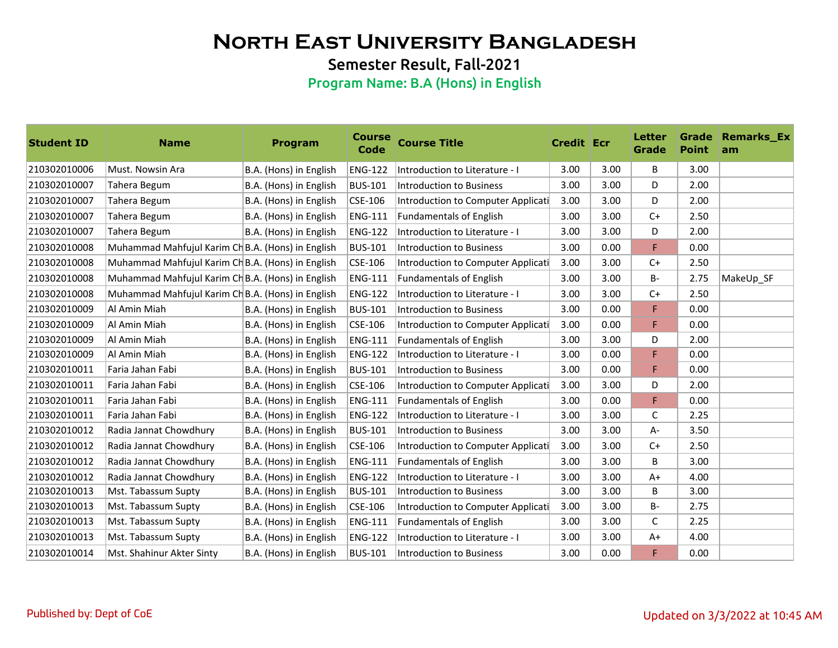Semester Result, Fall-2021

| <b>Student ID</b> | <b>Name</b>                                       | <b>Program</b>         | <b>Course</b><br>Code | <b>Course Title</b>                | <b>Credit Ecr</b> |      | <b>Letter</b><br>Grade | <b>Point</b> | <b>Grade Remarks Ex</b><br>am |
|-------------------|---------------------------------------------------|------------------------|-----------------------|------------------------------------|-------------------|------|------------------------|--------------|-------------------------------|
| 210302010006      | Must. Nowsin Ara                                  | B.A. (Hons) in English | <b>ENG-122</b>        | Introduction to Literature - I     | 3.00              | 3.00 | B                      | 3.00         |                               |
| 210302010007      | Tahera Begum                                      | B.A. (Hons) in English | <b>BUS-101</b>        | Introduction to Business           | 3.00              | 3.00 | D                      | 2.00         |                               |
| 210302010007      | Tahera Begum                                      | B.A. (Hons) in English | CSE-106               | Introduction to Computer Applicati | 3.00              | 3.00 | D                      | 2.00         |                               |
| 210302010007      | Tahera Begum                                      | B.A. (Hons) in English | <b>ENG-111</b>        | <b>Fundamentals of English</b>     | 3.00              | 3.00 | $C+$                   | 2.50         |                               |
| 210302010007      | Tahera Begum                                      | B.A. (Hons) in English | <b>ENG-122</b>        | Introduction to Literature - I     | 3.00              | 3.00 | D                      | 2.00         |                               |
| 210302010008      | Muhammad Mahfujul Karim Ch B.A. (Hons) in English |                        | <b>BUS-101</b>        | Introduction to Business           | 3.00              | 0.00 | F                      | 0.00         |                               |
| 210302010008      | Muhammad Mahfujul Karim Ch B.A. (Hons) in English |                        | CSE-106               | Introduction to Computer Applicati | 3.00              | 3.00 | $C+$                   | 2.50         |                               |
| 210302010008      | Muhammad Mahfujul Karim Ch B.A. (Hons) in English |                        | <b>ENG-111</b>        | <b>Fundamentals of English</b>     | 3.00              | 3.00 | <b>B-</b>              | 2.75         | MakeUp SF                     |
| 210302010008      | Muhammad Mahfujul Karim Ch B.A. (Hons) in English |                        | <b>ENG-122</b>        | Introduction to Literature - I     | 3.00              | 3.00 | $C+$                   | 2.50         |                               |
| 210302010009      | Al Amin Miah                                      | B.A. (Hons) in English | <b>BUS-101</b>        | Introduction to Business           | 3.00              | 0.00 | F.                     | 0.00         |                               |
| 210302010009      | Al Amin Miah                                      | B.A. (Hons) in English | CSE-106               | Introduction to Computer Applicati | 3.00              | 0.00 | F                      | 0.00         |                               |
| 210302010009      | Al Amin Miah                                      | B.A. (Hons) in English | <b>ENG-111</b>        | <b>Fundamentals of English</b>     | 3.00              | 3.00 | D                      | 2.00         |                               |
| 210302010009      | Al Amin Miah                                      | B.A. (Hons) in English | <b>ENG-122</b>        | Introduction to Literature - I     | 3.00              | 0.00 | F                      | 0.00         |                               |
| 210302010011      | Faria Jahan Fabi                                  | B.A. (Hons) in English | <b>BUS-101</b>        | <b>Introduction to Business</b>    | 3.00              | 0.00 | F                      | 0.00         |                               |
| 210302010011      | Faria Jahan Fabi                                  | B.A. (Hons) in English | CSE-106               | Introduction to Computer Applicati | 3.00              | 3.00 | D                      | 2.00         |                               |
| 210302010011      | Faria Jahan Fabi                                  | B.A. (Hons) in English | <b>ENG-111</b>        | <b>Fundamentals of English</b>     | 3.00              | 0.00 | F                      | 0.00         |                               |
| 210302010011      | Faria Jahan Fabi                                  | B.A. (Hons) in English | <b>ENG-122</b>        | Introduction to Literature - I     | 3.00              | 3.00 | $\mathsf{C}$           | 2.25         |                               |
| 210302010012      | Radia Jannat Chowdhury                            | B.A. (Hons) in English | <b>BUS-101</b>        | Introduction to Business           | 3.00              | 3.00 | A-                     | 3.50         |                               |
| 210302010012      | Radia Jannat Chowdhury                            | B.A. (Hons) in English | CSE-106               | Introduction to Computer Applicati | 3.00              | 3.00 | $C+$                   | 2.50         |                               |
| 210302010012      | Radia Jannat Chowdhury                            | B.A. (Hons) in English | <b>ENG-111</b>        | <b>Fundamentals of English</b>     | 3.00              | 3.00 | B                      | 3.00         |                               |
| 210302010012      | Radia Jannat Chowdhury                            | B.A. (Hons) in English | <b>ENG-122</b>        | Introduction to Literature - I     | 3.00              | 3.00 | $A+$                   | 4.00         |                               |
| 210302010013      | Mst. Tabassum Supty                               | B.A. (Hons) in English | <b>BUS-101</b>        | Introduction to Business           | 3.00              | 3.00 | B                      | 3.00         |                               |
| 210302010013      | Mst. Tabassum Supty                               | B.A. (Hons) in English | CSE-106               | Introduction to Computer Applicati | 3.00              | 3.00 | <b>B-</b>              | 2.75         |                               |
| 210302010013      | Mst. Tabassum Supty                               | B.A. (Hons) in English | <b>ENG-111</b>        | <b>Fundamentals of English</b>     | 3.00              | 3.00 | C                      | 2.25         |                               |
| 210302010013      | Mst. Tabassum Supty                               | B.A. (Hons) in English | <b>ENG-122</b>        | Introduction to Literature - I     | 3.00              | 3.00 | A+                     | 4.00         |                               |
| 210302010014      | Mst. Shahinur Akter Sinty                         | B.A. (Hons) in English | <b>BUS-101</b>        | Introduction to Business           | 3.00              | 0.00 | F                      | 0.00         |                               |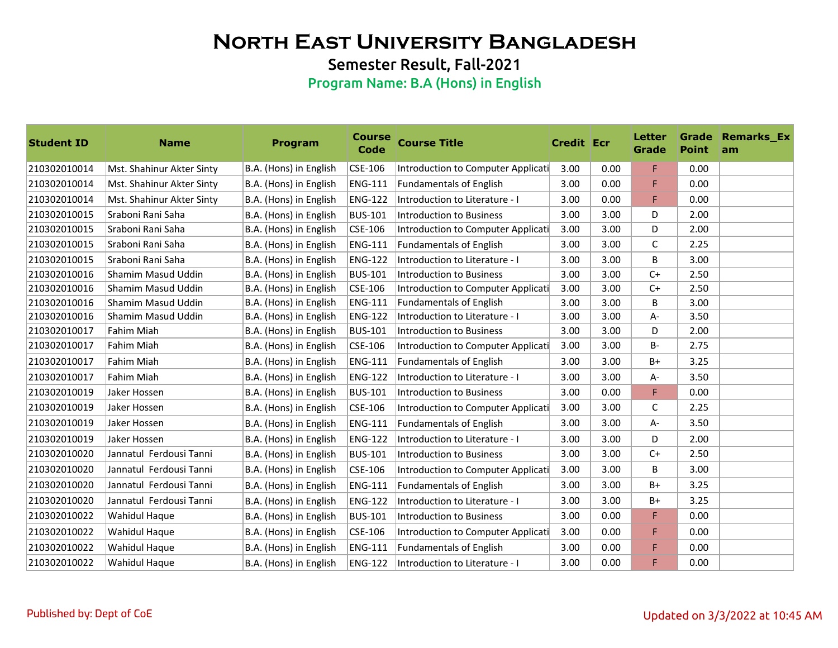Semester Result, Fall-2021

| <b>Student ID</b> | <b>Name</b>               | <b>Program</b>         | <b>Course</b><br><b>Code</b> | <b>Course Title</b>                | <b>Credit Ecr</b> |      | Letter<br>Grade | <b>Point</b> | <b>Grade Remarks_Ex</b><br>am |
|-------------------|---------------------------|------------------------|------------------------------|------------------------------------|-------------------|------|-----------------|--------------|-------------------------------|
| 210302010014      | Mst. Shahinur Akter Sinty | B.A. (Hons) in English | CSE-106                      | Introduction to Computer Applicati | 3.00              | 0.00 | F.              | 0.00         |                               |
| 210302010014      | Mst. Shahinur Akter Sinty | B.A. (Hons) in English | <b>ENG-111</b>               | <b>Fundamentals of English</b>     | 3.00              | 0.00 | F               | 0.00         |                               |
| 210302010014      | Mst. Shahinur Akter Sinty | B.A. (Hons) in English | <b>ENG-122</b>               | Introduction to Literature - I     | 3.00              | 0.00 | F               | 0.00         |                               |
| 210302010015      | Sraboni Rani Saha         | B.A. (Hons) in English | <b>BUS-101</b>               | Introduction to Business           | 3.00              | 3.00 | D               | 2.00         |                               |
| 210302010015      | Sraboni Rani Saha         | B.A. (Hons) in English | CSE-106                      | Introduction to Computer Applicati | 3.00              | 3.00 | D               | 2.00         |                               |
| 210302010015      | Sraboni Rani Saha         | B.A. (Hons) in English | <b>ENG-111</b>               | <b>Fundamentals of English</b>     | 3.00              | 3.00 | $\mathsf C$     | 2.25         |                               |
| 210302010015      | Sraboni Rani Saha         | B.A. (Hons) in English | <b>ENG-122</b>               | Introduction to Literature - I     | 3.00              | 3.00 | B               | 3.00         |                               |
| 210302010016      | Shamim Masud Uddin        | B.A. (Hons) in English | <b>BUS-101</b>               | Introduction to Business           | 3.00              | 3.00 | $C+$            | 2.50         |                               |
| 210302010016      | Shamim Masud Uddin        | B.A. (Hons) in English | CSE-106                      | Introduction to Computer Applicati | 3.00              | 3.00 | $C+$            | 2.50         |                               |
| 210302010016      | Shamim Masud Uddin        | B.A. (Hons) in English | <b>ENG-111</b>               | <b>Fundamentals of English</b>     | 3.00              | 3.00 | B               | 3.00         |                               |
| 210302010016      | Shamim Masud Uddin        | B.A. (Hons) in English | <b>ENG-122</b>               | Introduction to Literature - I     | 3.00              | 3.00 | A-              | 3.50         |                               |
| 210302010017      | Fahim Miah                | B.A. (Hons) in English | <b>BUS-101</b>               | <b>Introduction to Business</b>    | 3.00              | 3.00 | D               | 2.00         |                               |
| 210302010017      | Fahim Miah                | B.A. (Hons) in English | CSE-106                      | Introduction to Computer Applicati | 3.00              | 3.00 | B-              | 2.75         |                               |
| 210302010017      | <b>Fahim Miah</b>         | B.A. (Hons) in English | <b>ENG-111</b>               | <b>Fundamentals of English</b>     | 3.00              | 3.00 | $B+$            | 3.25         |                               |
| 210302010017      | Fahim Miah                | B.A. (Hons) in English | <b>ENG-122</b>               | Introduction to Literature - I     | 3.00              | 3.00 | A-              | 3.50         |                               |
| 210302010019      | Jaker Hossen              | B.A. (Hons) in English | <b>BUS-101</b>               | Introduction to Business           | 3.00              | 0.00 | F               | 0.00         |                               |
| 210302010019      | Jaker Hossen              | B.A. (Hons) in English | CSE-106                      | Introduction to Computer Applicati | 3.00              | 3.00 | C               | 2.25         |                               |
| 210302010019      | Jaker Hossen              | B.A. (Hons) in English | <b>ENG-111</b>               | <b>Fundamentals of English</b>     | 3.00              | 3.00 | A-              | 3.50         |                               |
| 210302010019      | Jaker Hossen              | B.A. (Hons) in English | <b>ENG-122</b>               | Introduction to Literature - I     | 3.00              | 3.00 | D               | 2.00         |                               |
| 210302010020      | Jannatul Ferdousi Tanni   | B.A. (Hons) in English | <b>BUS-101</b>               | Introduction to Business           | 3.00              | 3.00 | $C+$            | 2.50         |                               |
| 210302010020      | Jannatul Ferdousi Tanni   | B.A. (Hons) in English | CSE-106                      | Introduction to Computer Applicati | 3.00              | 3.00 | B               | 3.00         |                               |
| 210302010020      | Jannatul Ferdousi Tanni   | B.A. (Hons) in English | <b>ENG-111</b>               | <b>Fundamentals of English</b>     | 3.00              | 3.00 | B+              | 3.25         |                               |
| 210302010020      | Jannatul Ferdousi Tanni   | B.A. (Hons) in English | <b>ENG-122</b>               | Introduction to Literature - I     | 3.00              | 3.00 | $B+$            | 3.25         |                               |
| 210302010022      | Wahidul Haque             | B.A. (Hons) in English | <b>BUS-101</b>               | <b>Introduction to Business</b>    | 3.00              | 0.00 | F.              | 0.00         |                               |
| 210302010022      | Wahidul Haque             | B.A. (Hons) in English | CSE-106                      | Introduction to Computer Applicati | 3.00              | 0.00 | F               | 0.00         |                               |
| 210302010022      | Wahidul Haque             | B.A. (Hons) in English | <b>ENG-111</b>               | <b>Fundamentals of English</b>     | 3.00              | 0.00 | F               | 0.00         |                               |
| 210302010022      | Wahidul Haque             | B.A. (Hons) in English | <b>ENG-122</b>               | Introduction to Literature - I     | 3.00              | 0.00 | F               | 0.00         |                               |